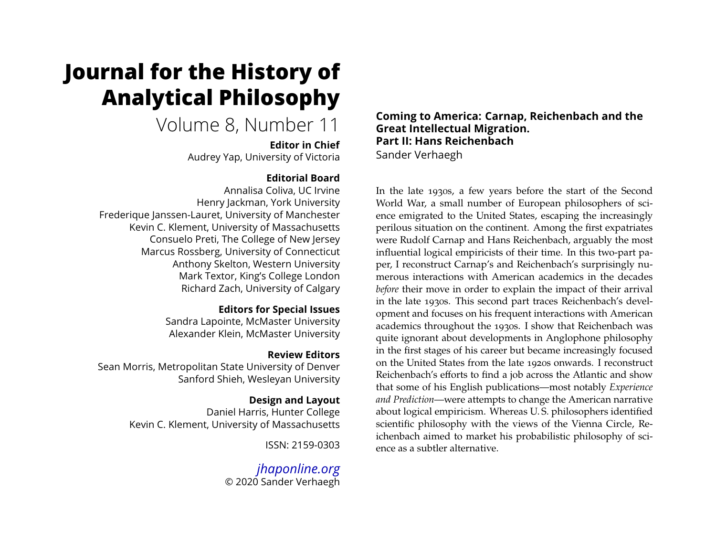# **Journal for the History of Analytical Philosophy**

# Volume 8, Number 11

**Editor in Chief** Audrey Yap, University of Victoria

# **Editorial Board**

Annalisa Coliva, UC Irvine Henry Jackman, York University Frederique Janssen-Lauret, University of Manchester Kevin C. Klement, University of Massachusetts Consuelo Preti, The College of New Jersey Marcus Rossberg, University of Connecticut Anthony Skelton, Western University Mark Textor, King's College London Richard Zach, University of Calgary

# **Editors for Special Issues**

Sandra Lapointe, McMaster University Alexander Klein, McMaster University

# **Review Editors**

Sean Morris, Metropolitan State University of Denver Sanford Shieh, Wesleyan University

# **Design and Layout**

Daniel Harris, Hunter College Kevin C. Klement, University of Massachusetts

ISSN: 2159-0303

*[jhaponline.org](https://jhaponline.org)* © 2020 Sander Verhaegh **Coming to America: Carnap, Reichenbach and the Great Intellectual Migration. Part II: Hans Reichenbach** Sander Verhaegh

In the late 1930s, a few years before the start of the Second World War, a small number of European philosophers of science emigrated to the United States, escaping the increasingly perilous situation on the continent. Among the first expatriates were Rudolf Carnap and Hans Reichenbach, arguably the most influential logical empiricists of their time. In this two-part paper, I reconstruct Carnap's and Reichenbach's surprisingly numerous interactions with American academics in the decades *before* their move in order to explain the impact of their arrival in the late 1930s. This second part traces Reichenbach's development and focuses on his frequent interactions with American academics throughout the 1930s. I show that Reichenbach was quite ignorant about developments in Anglophone philosophy in the first stages of his career but became increasingly focused on the United States from the late 1920s onwards. I reconstruct Reichenbach's efforts to find a job across the Atlantic and show that some of his English publications—most notably *Experience and Prediction*—were attempts to change the American narrative about logical empiricism. Whereas U. S. philosophers identified scientific philosophy with the views of the Vienna Circle, Reichenbach aimed to market his probabilistic philosophy of science as a subtler alternative.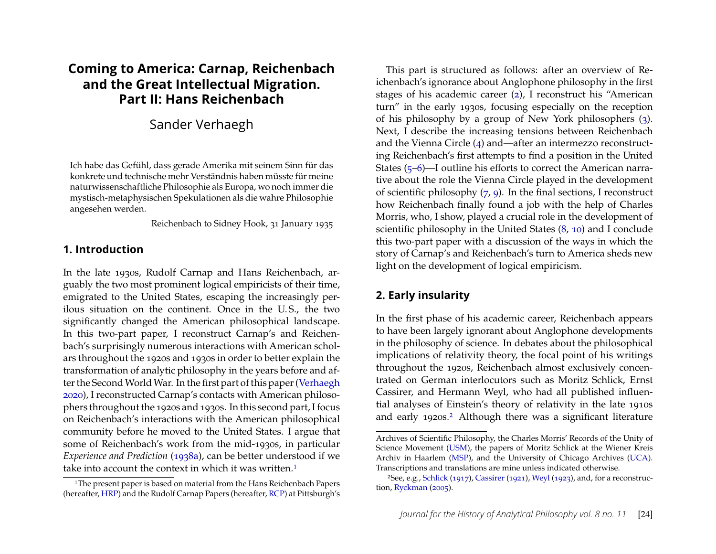# **Coming to America: Carnap, Reichenbach and the Great Intellectual Migration. Part II: Hans Reichenbach**

# Sander Verhaegh

Ich habe das Gefühl, dass gerade Amerika mit seinem Sinn für das konkrete und technische mehr Verständnis haben müsste für meine naturwissenschaftliche Philosophie als Europa, wo noch immer die mystisch-metaphysischen Spekulationen als die wahre Philosophie angesehen werden.

Reichenbach to Sidney Hook, 31 January 1935

#### **1. Introduction**

In the late 1930s, Rudolf Carnap and Hans Reichenbach, arguably the two most prominent logical empiricists of their time, emigrated to the United States, escaping the increasingly perilous situation on the continent. Once in the U. S., the two significantly changed the American philosophical landscape. In this two-part paper, I reconstruct Carnap's and Reichenbach's surprisingly numerous interactions with American scholars throughout the 1920s and 1930s in order to better explain the transformation of analytic philosophy in the years before and af-ter the Second World War. In the first part of this paper [\(Verhaegh](#page-23-0) [2020\)](#page-23-0), I reconstructed Carnap's contacts with American philosophers throughout the 1920s and 1930s. In this second part, I focus on Reichenbach's interactions with the American philosophical community before he moved to the United States. I argue that some of Reichenbach's work from the mid-1930s, in particular *Experience and Prediction* [\(1938a\)](#page-23-1), can be better understood if we take into account the context in which it was written.<sup>[1](#page-1-0)</sup>

This part is structured as follows: after an overview of Reichenbach's ignorance about Anglophone philosophy in the first stages of his academic career [\(2\)](#page-1-1), I reconstruct his "American turn" in the early 1930s, focusing especially on the reception of his philosophy by a group of New York philosophers [\(3\)](#page-3-0). Next, I describe the increasing tensions between Reichenbach and the Vienna Circle [\(4\)](#page-5-0) and—after an intermezzo reconstructing Reichenbach's first attempts to find a position in the United States [\(5](#page-6-0)[–6\)](#page-8-0)—I outline his efforts to correct the American narrative about the role the Vienna Circle played in the development of scientific philosophy [\(7,](#page-10-0) [9\)](#page-15-0). In the final sections, I reconstruct how Reichenbach finally found a job with the help of Charles Morris, who, I show, played a crucial role in the development of scientific philosophy in the United States [\(8,](#page-13-0) [10\)](#page-17-0) and I conclude this two-part paper with a discussion of the ways in which the story of Carnap's and Reichenbach's turn to America sheds new light on the development of logical empiricism.

# <span id="page-1-1"></span>**2. Early insularity**

In the first phase of his academic career, Reichenbach appears to have been largely ignorant about Anglophone developments in the philosophy of science. In debates about the philosophical implications of relativity theory, the focal point of his writings throughout the 1920s, Reichenbach almost exclusively concentrated on German interlocutors such as Moritz Schlick, Ernst Cassirer, and Hermann Weyl, who had all published influential analyses of Einstein's theory of relativity in the late 1910s and early 19[2](#page-1-2)0s.<sup>2</sup> Although there was a significant literature

<span id="page-1-0"></span><sup>&</sup>lt;sup>1</sup>The present paper is based on material from the Hans Reichenbach Papers (hereafter, [HRP\)](#page-20-0) and the Rudolf Carnap Papers (hereafter, [RCP\)](#page-20-1) at Pittsburgh's

Archives of Scientific Philosophy, the Charles Morris' Records of the Unity of Science Movement [\(USM\)](#page-20-2), the papers of Moritz Schlick at the Wiener Kreis Archiv in Haarlem [\(MSP\)](#page-20-3), and the University of Chicago Archives [\(UCA\)](#page-20-4). Transcriptions and translations are mine unless indicated otherwise.

<span id="page-1-2"></span><sup>&</sup>lt;sup>2</sup>See, e.g., [Schlick](#page-23-2) [\(1917\)](#page-23-2), [Cassirer](#page-20-5) [\(1921\)](#page-20-5), [Weyl](#page-24-0) [\(1923\)](#page-24-0), and, for a reconstruction, [Ryckman](#page-23-3) [\(2005\)](#page-23-3).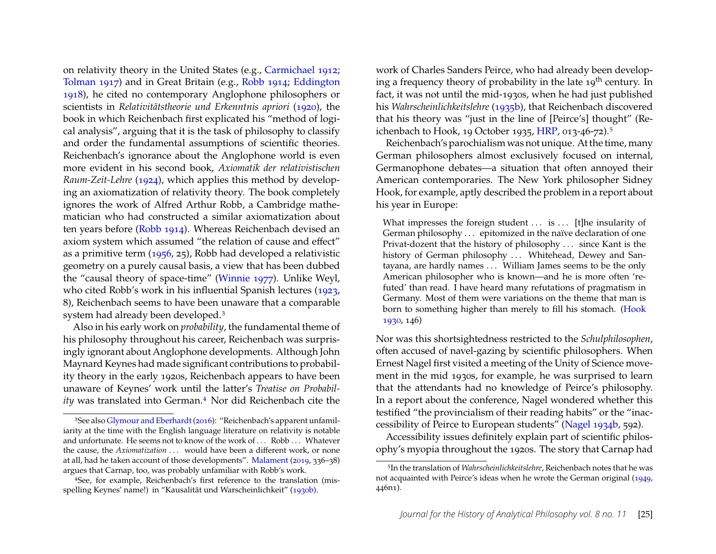on relativity theory in the United States (e.g., [Carmichael 1912;](#page-20-6) [Tolman 1917\)](#page-23-4) and in Great Britain (e.g., [Robb 1914;](#page-23-5) [Eddington](#page-21-0) [1918\)](#page-21-0), he cited no contemporary Anglophone philosophers or scientists in *Relativitätstheorie und Erkenntnis apriori* [\(1920\)](#page-22-0), the book in which Reichenbach first explicated his "method of logical analysis", arguing that it is the task of philosophy to classify and order the fundamental assumptions of scientific theories. Reichenbach's ignorance about the Anglophone world is even more evident in his second book, *Axiomatik der relativistischen Raum-Zeit-Lehre* [\(1924\)](#page-22-1), which applies this method by developing an axiomatization of relativity theory. The book completely ignores the work of Alfred Arthur Robb, a Cambridge mathematician who had constructed a similar axiomatization about ten years before [\(Robb 1914\)](#page-23-5). Whereas Reichenbach devised an axiom system which assumed "the relation of cause and effect" as a primitive term [\(1956,](#page-23-6) 25), Robb had developed a relativistic geometry on a purely causal basis, a view that has been dubbed the "causal theory of space-time" [\(Winnie 1977\)](#page-24-1). Unlike Weyl, who cited Robb's work in his influential Spanish lectures [\(1923,](#page-24-0) 8), Reichenbach seems to have been unaware that a comparable system had already been developed.[3](#page-2-0)

Also in his early work on *probability*, the fundamental theme of his philosophy throughout his career, Reichenbach was surprisingly ignorant about Anglophone developments. Although John Maynard Keynes had made significant contributions to probability theory in the early 1920s, Reichenbach appears to have been unaware of Keynes' work until the latter's *Treatise on Probability* was translated into German.[4](#page-2-1) Nor did Reichenbach cite the

work of Charles Sanders Peirce, who had already been developing a frequency theory of probability in the late  $19<sup>th</sup>$  century. In fact, it was not until the mid-1930s, when he had just published his *Wahrscheinlichkeitslehre* [\(1935b\)](#page-23-7), that Reichenbach discovered that his theory was "just in the line of [Peirce's] thought" (Reichenbach to Hook, 19 October 1935, [HRP,](#page-20-0) 013-46-72).[5](#page-2-2)

Reichenbach's parochialism was not unique. At the time, many German philosophers almost exclusively focused on internal, Germanophone debates—a situation that often annoyed their American contemporaries. The New York philosopher Sidney Hook, for example, aptly described the problem in a report about his year in Europe:

What impresses the foreign student  $\dots$  is  $\dots$  [t]he insularity of German philosophy . . . epitomized in the naïve declaration of one Privat-dozent that the history of philosophy . . . since Kant is the history of German philosophy ... Whitehead, Dewey and Santayana, are hardly names . . . William James seems to be the only American philosopher who is known—and he is more often 'refuted' than read. I have heard many refutations of pragmatism in Germany. Most of them were variations on the theme that man is born to something higher than merely to fill his stomach. [\(Hook](#page-21-3) [1930,](#page-21-3) 146)

Nor was this shortsightedness restricted to the *Schulphilosophen*, often accused of navel-gazing by scientific philosophers. When Ernest Nagel first visited a meeting of the Unity of Science movement in the mid 1930s, for example, he was surprised to learn that the attendants had no knowledge of Peirce's philosophy. In a report about the conference, Nagel wondered whether this testified "the provincialism of their reading habits" or the "inaccessibility of Peirce to European students" [\(Nagel 1934b,](#page-22-3) 592).

Accessibility issues definitely explain part of scientific philosophy's myopia throughout the 1920s. The story that Carnap had

<span id="page-2-0"></span><sup>3</sup>See also [Glymour and Eberhardt](#page-21-1) [\(2016\)](#page-21-1): "Reichenbach's apparent unfamiliarity at the time with the English language literature on relativity is notable and unfortunate. He seems not to know of the work of ... Robb ... Whatever the cause, the *Axiomatization* . . . would have been a different work, or none at all, had he taken account of those developments". [Malament](#page-21-2) [\(2019,](#page-21-2) 336–38) argues that Carnap, too, was probably unfamiliar with Robb's work.

<span id="page-2-1"></span><sup>4</sup>See, for example, Reichenbach's first reference to the translation (misspelling Keynes' name!) in "Kausalität und Warscheinlichkeit" [\(1930b\)](#page-22-2).

<span id="page-2-2"></span><sup>5</sup>In the translation of *Wahrscheinlichkeitslehre*, Reichenbach notes that he was not acquainted with Peirce's ideas when he wrote the German original [\(1949,](#page-23-8) 446n1).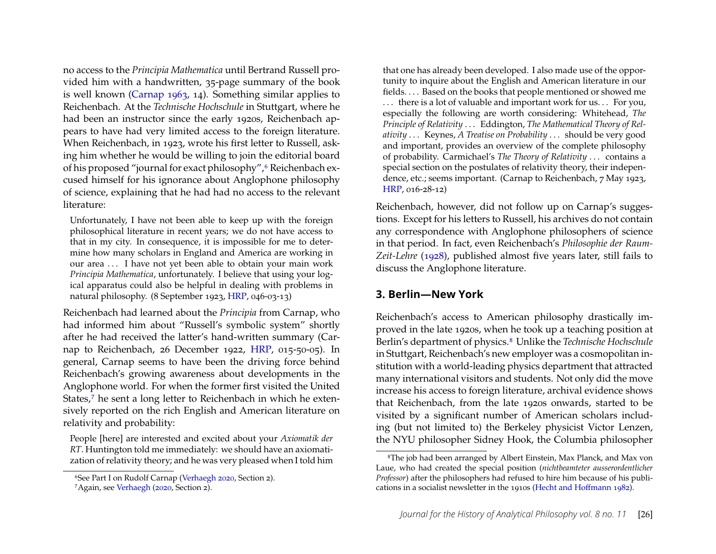no access to the *Principia Mathematica* until Bertrand Russell provided him with a handwritten, 35-page summary of the book is well known [\(Carnap 1963,](#page-20-7) 14). Something similar applies to Reichenbach. At the *Technische Hochschule* in Stuttgart, where he had been an instructor since the early 1920s, Reichenbach appears to have had very limited access to the foreign literature. When Reichenbach, in 1923, wrote his first letter to Russell, asking him whether he would be willing to join the editorial board of his proposed "journal for exact philosophy", <sup>[6](#page-3-1)</sup> Reichenbach excused himself for his ignorance about Anglophone philosophy of science, explaining that he had had no access to the relevant literature:

Unfortunately, I have not been able to keep up with the foreign philosophical literature in recent years; we do not have access to that in my city. In consequence, it is impossible for me to determine how many scholars in England and America are working in our area ... I have not yet been able to obtain your main work *Principia Mathematica*, unfortunately. I believe that using your logical apparatus could also be helpful in dealing with problems in natural philosophy. (8 September 1923, [HRP,](#page-20-0) 046-03-13)

Reichenbach had learned about the *Principia* from Carnap, who had informed him about "Russell's symbolic system" shortly after he had received the latter's hand-written summary (Carnap to Reichenbach, 26 December 1922, [HRP,](#page-20-0) 015-50-05). In general, Carnap seems to have been the driving force behind Reichenbach's growing awareness about developments in the Anglophone world. For when the former first visited the United States,<sup>[7](#page-3-2)</sup> he sent a long letter to Reichenbach in which he extensively reported on the rich English and American literature on relativity and probability:

People [here] are interested and excited about your *Axiomatik der RT*. Huntington told me immediately: we should have an axiomatization of relativity theory; and he was very pleased when I told him

that one has already been developed. I also made use of the opportunity to inquire about the English and American literature in our fields. . . . Based on the books that people mentioned or showed me ... there is a lot of valuable and important work for us... For you, especially the following are worth considering: Whitehead, *The Principle of Relativity* . . . Eddington, *The Mathematical Theory of Relativity* . . . Keynes, *A Treatise on Probability* . . . should be very good and important, provides an overview of the complete philosophy of probability. Carmichael's *The Theory of Relativity* . . . contains a special section on the postulates of relativity theory, their independence, etc.; seems important. (Carnap to Reichenbach, 7 May 1923, [HRP,](#page-20-0) 016-28-12)

Reichenbach, however, did not follow up on Carnap's suggestions. Except for his letters to Russell, his archives do not contain any correspondence with Anglophone philosophers of science in that period. In fact, even Reichenbach's *Philosophie der Raum-Zeit-Lehre* [\(1928\)](#page-22-4), published almost five years later, still fails to discuss the Anglophone literature.

#### <span id="page-3-0"></span>**3. Berlin—New York**

Reichenbach's access to American philosophy drastically improved in the late 1920s, when he took up a teaching position at Berlin's department of physics.[8](#page-3-3) Unlike the *Technische Hochschule* in Stuttgart, Reichenbach's new employer was a cosmopolitan institution with a world-leading physics department that attracted many international visitors and students. Not only did the move increase his access to foreign literature, archival evidence shows that Reichenbach, from the late 1920s onwards, started to be visited by a significant number of American scholars including (but not limited to) the Berkeley physicist Victor Lenzen, the NYU philosopher Sidney Hook, the Columbia philosopher

<span id="page-3-1"></span><sup>6</sup>See Part I on Rudolf Carnap [\(Verhaegh 2020,](#page-23-0) Section 2).

<span id="page-3-2"></span><sup>7</sup>Again, see [Verhaegh](#page-23-0) [\(2020,](#page-23-0) Section 2).

<span id="page-3-3"></span><sup>8</sup>The job had been arranged by Albert Einstein, Max Planck, and Max von Laue, who had created the special position (*nichtbeamteter ausserordentlicher Professor*) after the philosophers had refused to hire him because of his publications in a socialist newsletter in the 1910s [\(Hecht and Hoffmann 1982\)](#page-21-4).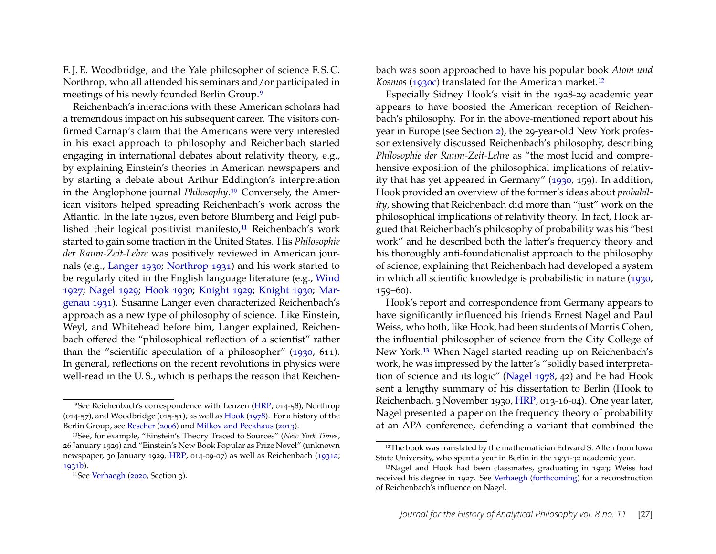F. J. E. Woodbridge, and the Yale philosopher of science F. S. C. Northrop, who all attended his seminars and/or participated in meetings of his newly founded Berlin Group.[9](#page-4-0)

Reichenbach's interactions with these American scholars had a tremendous impact on his subsequent career. The visitors confirmed Carnap's claim that the Americans were very interested in his exact approach to philosophy and Reichenbach started engaging in international debates about relativity theory, e.g., by explaining Einstein's theories in American newspapers and by starting a debate about Arthur Eddington's interpretation in the Anglophone journal *Philosophy*.[10](#page-4-1) Conversely, the American visitors helped spreading Reichenbach's work across the Atlantic. In the late 1920s, even before Blumberg and Feigl pub-lished their logical positivist manifesto,<sup>[11](#page-4-2)</sup> Reichenbach's work started to gain some traction in the United States. His *Philosophie der Raum-Zeit-Lehre* was positively reviewed in American journals (e.g., [Langer 1930;](#page-21-5) [Northrop 1931\)](#page-22-5) and his work started to be regularly cited in the English language literature (e.g., [Wind](#page-24-2) [1927;](#page-24-2) [Nagel 1929;](#page-22-6) [Hook 1930;](#page-21-3) [Knight 1929;](#page-21-6) [Knight 1930;](#page-21-7) [Mar](#page-21-8)[genau 1931\)](#page-21-8). Susanne Langer even characterized Reichenbach's approach as a new type of philosophy of science. Like Einstein, Weyl, and Whitehead before him, Langer explained, Reichenbach offered the "philosophical reflection of a scientist" rather than the "scientific speculation of a philosopher" [\(1930,](#page-21-5) 611). In general, reflections on the recent revolutions in physics were well-read in the U. S., which is perhaps the reason that Reichenbach was soon approached to have his popular book *Atom und Kosmos* [\(1930c\)](#page-22-9) translated for the American market.<sup>[12](#page-4-3)</sup>

Especially Sidney Hook's visit in the 1928-29 academic year appears to have boosted the American reception of Reichenbach's philosophy. For in the above-mentioned report about his year in Europe (see Section [2\)](#page-1-1), the 29-year-old New York professor extensively discussed Reichenbach's philosophy, describing *Philosophie der Raum-Zeit-Lehre* as "the most lucid and comprehensive exposition of the philosophical implications of relativity that has yet appeared in Germany" [\(1930,](#page-21-3) 159). In addition, Hook provided an overview of the former's ideas about *probability*, showing that Reichenbach did more than "just" work on the philosophical implications of relativity theory. In fact, Hook argued that Reichenbach's philosophy of probability was his "best work" and he described both the latter's frequency theory and his thoroughly anti-foundationalist approach to the philosophy of science, explaining that Reichenbach had developed a system in which all scientific knowledge is probabilistic in nature [\(1930,](#page-21-3) 159–60).

Hook's report and correspondence from Germany appears to have significantly influenced his friends Ernest Nagel and Paul Weiss, who both, like Hook, had been students of Morris Cohen, the influential philosopher of science from the City College of New York.[13](#page-4-4) When Nagel started reading up on Reichenbach's work, he was impressed by the latter's "solidly based interpretation of science and its logic" [\(Nagel 1978,](#page-22-10) 42) and he had Hook sent a lengthy summary of his dissertation to Berlin (Hook to Reichenbach, 3 November 1930, [HRP,](#page-20-0) 013-16-04). One year later, Nagel presented a paper on the frequency theory of probability at an APA conference, defending a variant that combined the

<span id="page-4-0"></span><sup>&</sup>lt;sup>9</sup>See Reichenbach's correspondence with Lenzen [\(HRP,](#page-20-0) 014-58), Northrop  $(014-57)$ , and Woodbridge  $(015-51)$ , as well as [Hook](#page-21-9)  $(1978)$ . For a history of the Berlin Group, see [Rescher](#page-23-9) [\(2006\)](#page-23-9) and [Milkov and Peckhaus](#page-21-10) [\(2013\)](#page-21-10).

<span id="page-4-1"></span><sup>10</sup>See, for example, "Einstein's Theory Traced to Sources" (*New York Times*, 26 January 1929) and "Einstein's New Book Popular as Prize Novel" (unknown newspaper, 30 January 1929, [HRP,](#page-20-0) 014-09-07) as well as Reichenbach [\(1931a;](#page-22-7) [1931b\)](#page-22-8).

<span id="page-4-2"></span><sup>11</sup>See [Verhaegh](#page-23-0) [\(2020,](#page-23-0) Section 3).

<span id="page-4-3"></span><sup>&</sup>lt;sup>12</sup>The book was translated by the mathematician Edward S. Allen from Iowa State University, who spent a year in Berlin in the 1931-32 academic year.

<span id="page-4-4"></span><sup>13</sup>Nagel and Hook had been classmates, graduating in 1923; Weiss had received his degree in 1927. See [Verhaegh](#page-23-10) [\(forthcoming\)](#page-23-10) for a reconstruction of Reichenbach's influence on Nagel.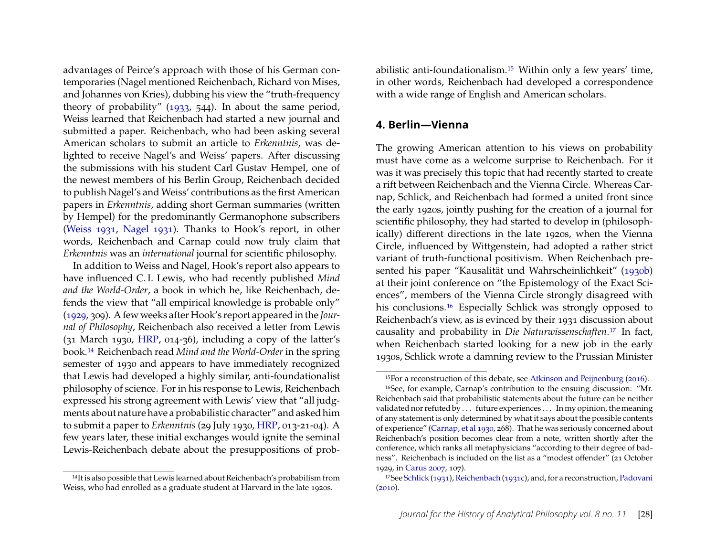advantages of Peirce's approach with those of his German contemporaries (Nagel mentioned Reichenbach, Richard von Mises, and Johannes von Kries), dubbing his view the "truth-frequency theory of probability" [\(1933,](#page-22-11) 544). In about the same period, Weiss learned that Reichenbach had started a new journal and submitted a paper. Reichenbach, who had been asking several American scholars to submit an article to *Erkenntnis*, was delighted to receive Nagel's and Weiss' papers. After discussing the submissions with his student Carl Gustav Hempel, one of the newest members of his Berlin Group, Reichenbach decided to publish Nagel's and Weiss' contributions as the first American papers in *Erkenntnis*, adding short German summaries (written by Hempel) for the predominantly Germanophone subscribers [\(Weiss 1931,](#page-24-3) [Nagel 1931\)](#page-22-12). Thanks to Hook's report, in other words, Reichenbach and Carnap could now truly claim that *Erkenntnis* was an *international* journal for scientific philosophy.

In addition to Weiss and Nagel, Hook's report also appears to have influenced C. I. Lewis, who had recently published *Mind and the World-Order*, a book in which he, like Reichenbach, defends the view that "all empirical knowledge is probable only" [\(1929,](#page-21-11) 309). A few weeks after Hook's report appeared in the *Journal of Philosophy*, Reichenbach also received a letter from Lewis (31 March 1930, [HRP,](#page-20-0) 014-36), including a copy of the latter's book.[14](#page-5-1) Reichenbach read *Mind and the World-Order* in the spring semester of 1930 and appears to have immediately recognized that Lewis had developed a highly similar, anti-foundationalist philosophy of science. For in his response to Lewis, Reichenbach expressed his strong agreement with Lewis' view that "all judgments about nature have a probabilistic character" and asked him to submit a paper to *Erkenntnis* (29 July 1930, [HRP,](#page-20-0) 013-21-04). A few years later, these initial exchanges would ignite the seminal Lewis-Reichenbach debate about the presuppositions of prob-

<span id="page-5-1"></span>14It is also possible that Lewis learned about Reichenbach's probabilism from Weiss, who had enrolled as a graduate student at Harvard in the late 1920s.

abilistic anti-foundationalism.[15](#page-5-2) Within only a few years' time, in other words, Reichenbach had developed a correspondence with a wide range of English and American scholars.

#### <span id="page-5-0"></span>**4. Berlin—Vienna**

The growing American attention to his views on probability must have come as a welcome surprise to Reichenbach. For it was it was precisely this topic that had recently started to create a rift between Reichenbach and the Vienna Circle. Whereas Carnap, Schlick, and Reichenbach had formed a united front since the early 1920s, jointly pushing for the creation of a journal for scientific philosophy, they had started to develop in (philosophically) different directions in the late 1920s, when the Vienna Circle, influenced by Wittgenstein, had adopted a rather strict variant of truth-functional positivism. When Reichenbach presented his paper "Kausalität und Wahrscheinlichkeit" [\(1930b\)](#page-22-2) at their joint conference on "the Epistemology of the Exact Sciences", members of the Vienna Circle strongly disagreed with his conclusions.<sup>[16](#page-5-3)</sup> Especially Schlick was strongly opposed to Reichenbach's view, as is evinced by their 1931 discussion about causality and probability in *Die Naturwissenschaften*.[17](#page-5-4) In fact, when Reichenbach started looking for a new job in the early 1930s, Schlick wrote a damning review to the Prussian Minister

<span id="page-5-3"></span><span id="page-5-2"></span><sup>15</sup>For a reconstruction of this debate, see [Atkinson and Peijnenburg](#page-20-8) [\(2016\)](#page-20-8).

<sup>16</sup>See, for example, Carnap's contribution to the ensuing discussion: "Mr. Reichenbach said that probabilistic statements about the future can be neither validated nor refuted by . . . future experiences . . . In my opinion, the meaning of any statement is only determined by what it says about the possible contents of experience" [\(Carnap, et al 1930,](#page-20-9) 268). That he was seriously concerned about Reichenbach's position becomes clear from a note, written shortly after the conference, which ranks all metaphysicians "according to their degree of badness". Reichenbach is included on the list as a "modest offender" (21 October 1929, in [Carus 2007,](#page-20-10) 107).

<span id="page-5-4"></span><sup>17</sup>See [Schlick](#page-23-11) [\(1931\)](#page-23-11), [Reichenbach](#page-22-13) [\(1931c\)](#page-22-13), and, for a reconstruction, [Padovani](#page-22-14)  $(2010).$  $(2010).$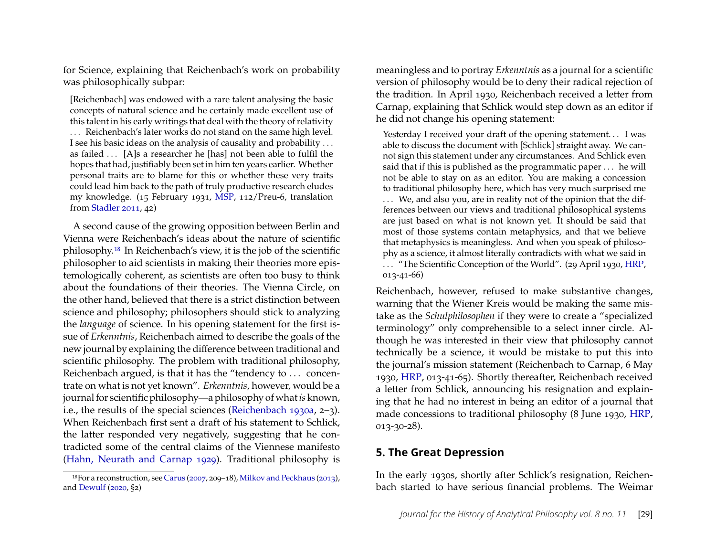for Science, explaining that Reichenbach's work on probability was philosophically subpar:

[Reichenbach] was endowed with a rare talent analysing the basic concepts of natural science and he certainly made excellent use of this talent in his early writings that deal with the theory of relativity . . . Reichenbach's later works do not stand on the same high level. I see his basic ideas on the analysis of causality and probability . . . as failed . . . [A]s a researcher he [has] not been able to fulfil the hopes that had, justifiably been set in him ten years earlier. Whether personal traits are to blame for this or whether these very traits could lead him back to the path of truly productive research eludes my knowledge. (15 February 1931, [MSP,](#page-20-3) 112/Preu-6, translation from [Stadler 2011,](#page-23-12) 42)

A second cause of the growing opposition between Berlin and Vienna were Reichenbach's ideas about the nature of scientific philosophy.[18](#page-6-1) In Reichenbach's view, it is the job of the scientific philosopher to aid scientists in making their theories more epistemologically coherent, as scientists are often too busy to think about the foundations of their theories. The Vienna Circle, on the other hand, believed that there is a strict distinction between science and philosophy; philosophers should stick to analyzing the *language* of science. In his opening statement for the first issue of *Erkenntnis*, Reichenbach aimed to describe the goals of the new journal by explaining the difference between traditional and scientific philosophy. The problem with traditional philosophy, Reichenbach argued, is that it has the "tendency to . . . concentrate on what is not yet known". *Erkenntnis*, however, would be a journal for scientific philosophy—a philosophy of what*is* known, i.e., the results of the special sciences [\(Reichenbach 1930a,](#page-22-15) 2–3). When Reichenbach first sent a draft of his statement to Schlick, the latter responded very negatively, suggesting that he contradicted some of the central claims of the Viennese manifesto [\(Hahn, Neurath and Carnap 1929\)](#page-21-12). Traditional philosophy is

meaningless and to portray *Erkenntnis* as a journal for a scientific version of philosophy would be to deny their radical rejection of the tradition. In April 1930, Reichenbach received a letter from Carnap, explaining that Schlick would step down as an editor if he did not change his opening statement:

Yesterday I received your draft of the opening statement... I was able to discuss the document with [Schlick] straight away. We cannot sign this statement under any circumstances. And Schlick even said that if this is published as the programmatic paper . . . he will not be able to stay on as an editor. You are making a concession to traditional philosophy here, which has very much surprised me ... We, and also you, are in reality not of the opinion that the differences between our views and traditional philosophical systems are just based on what is not known yet. It should be said that most of those systems contain metaphysics, and that we believe that metaphysics is meaningless. And when you speak of philosophy as a science, it almost literally contradicts with what we said in

. . . "The Scientific Conception of the World". (29 April 1930, [HRP,](#page-20-0) 013-41-66)

Reichenbach, however, refused to make substantive changes, warning that the Wiener Kreis would be making the same mistake as the *Schulphilosophen* if they were to create a "specialized terminology" only comprehensible to a select inner circle. Although he was interested in their view that philosophy cannot technically be a science, it would be mistake to put this into the journal's mission statement (Reichenbach to Carnap, 6 May 1930, [HRP,](#page-20-0) 013-41-65). Shortly thereafter, Reichenbach received a letter from Schlick, announcing his resignation and explaining that he had no interest in being an editor of a journal that made concessions to traditional philosophy (8 June 1930, [HRP,](#page-20-0) 013-30-28).

# <span id="page-6-0"></span>**5. The Great Depression**

In the early 1930s, shortly after Schlick's resignation, Reichenbach started to have serious financial problems. The Weimar

<span id="page-6-1"></span><sup>18</sup>For a reconstruction, see [Carus](#page-20-10) [\(2007,](#page-20-10) 209–18), [Milkov and Peckhaus](#page-21-10) [\(2013\)](#page-21-10), and [Dewulf](#page-21-13) [\(2020,](#page-21-13) §2)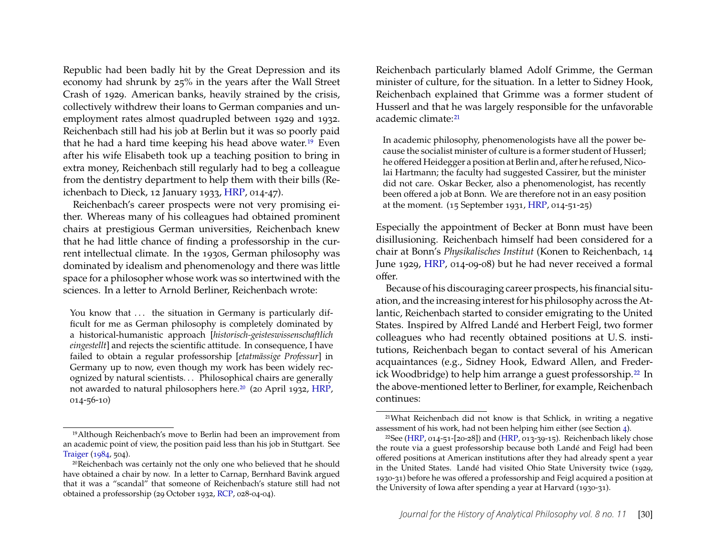Republic had been badly hit by the Great Depression and its economy had shrunk by 25% in the years after the Wall Street Crash of 1929. American banks, heavily strained by the crisis, collectively withdrew their loans to German companies and unemployment rates almost quadrupled between 1929 and 1932. Reichenbach still had his job at Berlin but it was so poorly paid that he had a hard time keeping his head above water.[19](#page-7-0) Even after his wife Elisabeth took up a teaching position to bring in extra money, Reichenbach still regularly had to beg a colleague from the dentistry department to help them with their bills (Reichenbach to Dieck, 12 January 1933, [HRP,](#page-20-0) 014-47).

Reichenbach's career prospects were not very promising either. Whereas many of his colleagues had obtained prominent chairs at prestigious German universities, Reichenbach knew that he had little chance of finding a professorship in the current intellectual climate. In the 1930s, German philosophy was dominated by idealism and phenomenology and there was little space for a philosopher whose work was so intertwined with the sciences. In a letter to Arnold Berliner, Reichenbach wrote:

You know that ... the situation in Germany is particularly difficult for me as German philosophy is completely dominated by a historical-humanistic approach [*historisch-geisteswissenschaftlich eingestellt*] and rejects the scientific attitude. In consequence, I have failed to obtain a regular professorship [*etatmässige Professur*] in Germany up to now, even though my work has been widely recognized by natural scientists. . . Philosophical chairs are generally not awarded to natural philosophers here.<sup>[20](#page-7-1)</sup> (20 April 1932, [HRP,](#page-20-0) 014-56-10)

Reichenbach particularly blamed Adolf Grimme, the German minister of culture, for the situation. In a letter to Sidney Hook, Reichenbach explained that Grimme was a former student of Husserl and that he was largely responsible for the unfavorable academic climate:<sup>[21](#page-7-2)</sup>

In academic philosophy, phenomenologists have all the power because the socialist minister of culture is a former student of Husserl; he offered Heidegger a position at Berlin and, after he refused, Nicolai Hartmann; the faculty had suggested Cassirer, but the minister did not care. Oskar Becker, also a phenomenologist, has recently been offered a job at Bonn. We are therefore not in an easy position at the moment. (15 September 1931, [HRP,](#page-20-0) 014-51-25)

Especially the appointment of Becker at Bonn must have been disillusioning. Reichenbach himself had been considered for a chair at Bonn's *Physikalisches Institut* (Konen to Reichenbach, 14 June 1929, [HRP,](#page-20-0) 014-09-08) but he had never received a formal offer.

Because of his discouraging career prospects, his financial situation, and the increasing interest for his philosophy across the Atlantic, Reichenbach started to consider emigrating to the United States. Inspired by Alfred Landé and Herbert Feigl, two former colleagues who had recently obtained positions at U. S. institutions, Reichenbach began to contact several of his American acquaintances (e.g., Sidney Hook, Edward Allen, and Freder-ick Woodbridge) to help him arrange a guest professorship.<sup>[22](#page-7-3)</sup> In the above-mentioned letter to Berliner, for example, Reichenbach continues:

<span id="page-7-0"></span><sup>19</sup>Although Reichenbach's move to Berlin had been an improvement from an academic point of view, the position paid less than his job in Stuttgart. See [Traiger](#page-23-13) [\(1984,](#page-23-13) 504).

<span id="page-7-1"></span><sup>20</sup>Reichenbach was certainly not the only one who believed that he should have obtained a chair by now. In a letter to Carnap, Bernhard Bavink argued that it was a "scandal" that someone of Reichenbach's stature still had not obtained a professorship (29 October 1932, [RCP,](#page-20-1) 028-04-04).

<span id="page-7-2"></span><sup>21</sup>What Reichenbach did not know is that Schlick, in writing a negative assessment of his work, had not been helping him either (see Section [4\)](#page-5-0).

<span id="page-7-3"></span><sup>&</sup>lt;sup>22</sup>See [\(HRP,](#page-20-0) 014-51-[20-28]) and (HRP, 013-39-15). Reichenbach likely chose the route via a guest professorship because both Landé and Feigl had been offered positions at American institutions after they had already spent a year in the United States. Landé had visited Ohio State University twice (1929, 1930-31) before he was offered a professorship and Feigl acquired a position at the University of Iowa after spending a year at Harvard (1930-31).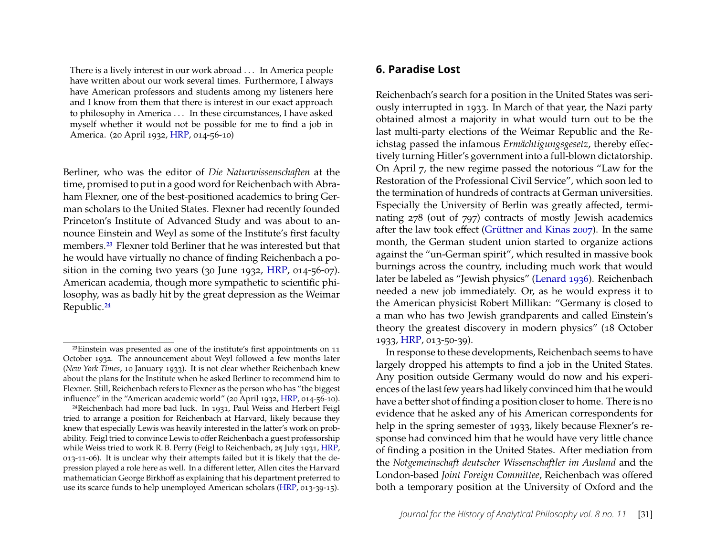There is a lively interest in our work abroad . . . In America people have written about our work several times. Furthermore, I always have American professors and students among my listeners here and I know from them that there is interest in our exact approach to philosophy in America . . . In these circumstances, I have asked myself whether it would not be possible for me to find a job in America. (20 April 1932, [HRP,](#page-20-0) 014-56-10)

Berliner, who was the editor of *Die Naturwissenschaften* at the time, promised to put in a good word for Reichenbach with Abraham Flexner, one of the best-positioned academics to bring German scholars to the United States. Flexner had recently founded Princeton's Institute of Advanced Study and was about to announce Einstein and Weyl as some of the Institute's first faculty members.[23](#page-8-1) Flexner told Berliner that he was interested but that he would have virtually no chance of finding Reichenbach a position in the coming two years (30 June 1932, [HRP,](#page-20-0) 014-56-07). American academia, though more sympathetic to scientific philosophy, was as badly hit by the great depression as the Weimar Republic.[24](#page-8-2)

<span id="page-8-2"></span>24Reichenbach had more bad luck. In 1931, Paul Weiss and Herbert Feigl tried to arrange a position for Reichenbach at Harvard, likely because they knew that especially Lewis was heavily interested in the latter's work on probability. Feigl tried to convince Lewis to offer Reichenbach a guest professorship while Weiss tried to work R. B. Perry (Feigl to Reichenbach, 25 July 1931, [HRP,](#page-20-0) 013-11-06). It is unclear why their attempts failed but it is likely that the depression played a role here as well. In a different letter, Allen cites the Harvard mathematician George Birkhoff as explaining that his department preferred to use its scarce funds to help unemployed American scholars [\(HRP,](#page-20-0) 013-39-15).

#### <span id="page-8-0"></span>**6. Paradise Lost**

Reichenbach's search for a position in the United States was seriously interrupted in 1933. In March of that year, the Nazi party obtained almost a majority in what would turn out to be the last multi-party elections of the Weimar Republic and the Reichstag passed the infamous *Ermächtigungsgesetz*, thereby effectively turning Hitler's government into a full-blown dictatorship. On April 7, the new regime passed the notorious "Law for the Restoration of the Professional Civil Service", which soon led to the termination of hundreds of contracts at German universities. Especially the University of Berlin was greatly affected, terminating 278 (out of 797) contracts of mostly Jewish academics after the law took effect [\(Grüttner and Kinas 2007\)](#page-21-14). In the same month, the German student union started to organize actions against the "un-German spirit", which resulted in massive book burnings across the country, including much work that would later be labeled as "Jewish physics" [\(Lenard 1936\)](#page-21-15). Reichenbach needed a new job immediately. Or, as he would express it to the American physicist Robert Millikan: "Germany is closed to a man who has two Jewish grandparents and called Einstein's theory the greatest discovery in modern physics" (18 October 1933, [HRP,](#page-20-0) 013-50-39).

In response to these developments, Reichenbach seems to have largely dropped his attempts to find a job in the United States. Any position outside Germany would do now and his experiences of the last few years had likely convinced him that he would have a better shot of finding a position closer to home. There is no evidence that he asked any of his American correspondents for help in the spring semester of 1933, likely because Flexner's response had convinced him that he would have very little chance of finding a position in the United States. After mediation from the *Notgemeinschaft deutscher Wissenschaftler im Ausland* and the London-based *Joint Foreign Committee*, Reichenbach was offered both a temporary position at the University of Oxford and the

<span id="page-8-1"></span><sup>23</sup>Einstein was presented as one of the institute's first appointments on 11 October 1932. The announcement about Weyl followed a few months later (*New York Times*, 10 January 1933). It is not clear whether Reichenbach knew about the plans for the Institute when he asked Berliner to recommend him to Flexner. Still, Reichenbach refers to Flexner as the person who has "the biggest influence" in the "American academic world" (20 April 1932, [HRP,](#page-20-0) 014-56-10).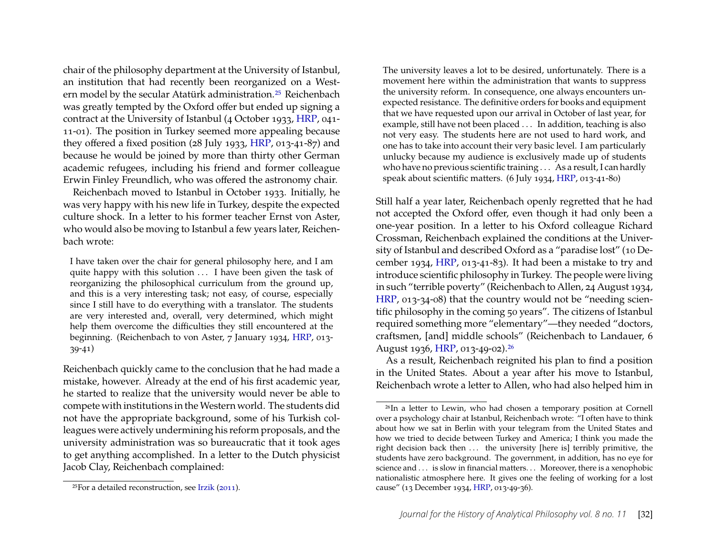chair of the philosophy department at the University of Istanbul, an institution that had recently been reorganized on a Western model by the secular Atatürk administration.[25](#page-9-0) Reichenbach was greatly tempted by the Oxford offer but ended up signing a contract at the University of Istanbul (4 October 1933, [HRP,](#page-20-0) 041- 11-01). The position in Turkey seemed more appealing because they offered a fixed position (28 July 1933, [HRP,](#page-20-0) 013-41-87) and because he would be joined by more than thirty other German academic refugees, including his friend and former colleague Erwin Finley Freundlich, who was offered the astronomy chair.

Reichenbach moved to Istanbul in October 1933. Initially, he was very happy with his new life in Turkey, despite the expected culture shock. In a letter to his former teacher Ernst von Aster, who would also be moving to Istanbul a few years later, Reichenbach wrote:

I have taken over the chair for general philosophy here, and I am quite happy with this solution ... I have been given the task of reorganizing the philosophical curriculum from the ground up, and this is a very interesting task; not easy, of course, especially since I still have to do everything with a translator. The students are very interested and, overall, very determined, which might help them overcome the difficulties they still encountered at the beginning. (Reichenbach to von Aster, 7 January 1934, [HRP,](#page-20-0) 013-39-41)

Reichenbach quickly came to the conclusion that he had made a mistake, however. Already at the end of his first academic year, he started to realize that the university would never be able to compete with institutions in theWestern world. The students did not have the appropriate background, some of his Turkish colleagues were actively undermining his reform proposals, and the university administration was so bureaucratic that it took ages to get anything accomplished. In a letter to the Dutch physicist Jacob Clay, Reichenbach complained:

The university leaves a lot to be desired, unfortunately. There is a movement here within the administration that wants to suppress the university reform. In consequence, one always encounters unexpected resistance. The definitive orders for books and equipment that we have requested upon our arrival in October of last year, for example, still have not been placed . . . In addition, teaching is also not very easy. The students here are not used to hard work, and one has to take into account their very basic level. I am particularly unlucky because my audience is exclusively made up of students who have no previous scientific training . . . As a result, I can hardly speak about scientific matters. (6 July 1934, [HRP,](#page-20-0) 013-41-80)

Still half a year later, Reichenbach openly regretted that he had not accepted the Oxford offer, even though it had only been a one-year position. In a letter to his Oxford colleague Richard Crossman, Reichenbach explained the conditions at the University of Istanbul and described Oxford as a "paradise lost" (10 December 1934, [HRP,](#page-20-0) 013-41-83). It had been a mistake to try and introduce scientific philosophy in Turkey. The people were living in such "terrible poverty" (Reichenbach to Allen, 24 August 1934, [HRP,](#page-20-0) 013-34-08) that the country would not be "needing scientific philosophy in the coming 50 years". The citizens of Istanbul required something more "elementary"—they needed "doctors, craftsmen, [and] middle schools" (Reichenbach to Landauer, 6 August 1936, [HRP,](#page-20-0) 013-49-02).[26](#page-9-1)

As a result, Reichenbach reignited his plan to find a position in the United States. About a year after his move to Istanbul, Reichenbach wrote a letter to Allen, who had also helped him in

<span id="page-9-0"></span><sup>25</sup>For a detailed reconstruction, see [Irzik](#page-21-16) [\(2011\)](#page-21-16).

<span id="page-9-1"></span><sup>26</sup>In a letter to Lewin, who had chosen a temporary position at Cornell over a psychology chair at Istanbul, Reichenbach wrote: "I often have to think about how we sat in Berlin with your telegram from the United States and how we tried to decide between Turkey and America; I think you made the right decision back then ... the university [here is] terribly primitive, the students have zero background. The government, in addition, has no eye for science and . . . is slow in financial matters. . . Moreover, there is a xenophobic nationalistic atmosphere here. It gives one the feeling of working for a lost cause" (13 December 1934, [HRP,](#page-20-0) 013-49-36).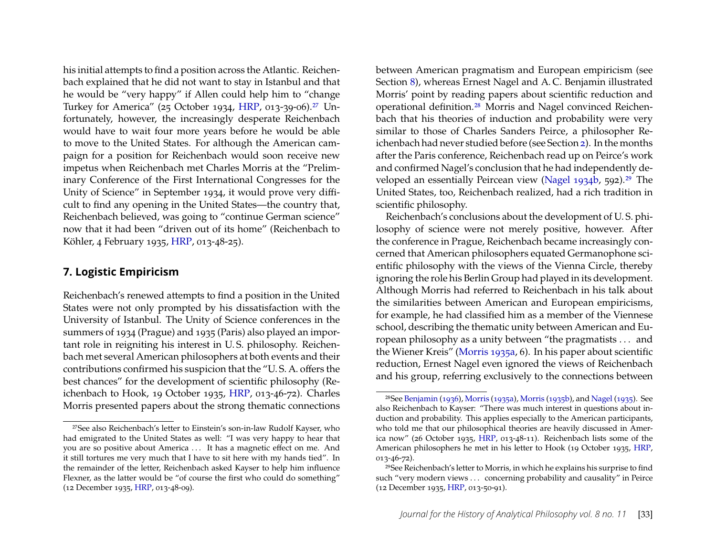his initial attempts to find a position across the Atlantic. Reichenbach explained that he did not want to stay in Istanbul and that he would be "very happy" if Allen could help him to "change Turkey for America" (25 October 1934, [HRP,](#page-20-0) 013-39-06).[27](#page-10-1) Unfortunately, however, the increasingly desperate Reichenbach would have to wait four more years before he would be able to move to the United States. For although the American campaign for a position for Reichenbach would soon receive new impetus when Reichenbach met Charles Morris at the "Preliminary Conference of the First International Congresses for the Unity of Science" in September 1934, it would prove very difficult to find any opening in the United States—the country that, Reichenbach believed, was going to "continue German science" now that it had been "driven out of its home" (Reichenbach to Köhler, 4 February 1935, [HRP,](#page-20-0) 013-48-25).

#### <span id="page-10-0"></span>**7. Logistic Empiricism**

Reichenbach's renewed attempts to find a position in the United States were not only prompted by his dissatisfaction with the University of Istanbul. The Unity of Science conferences in the summers of 1934 (Prague) and 1935 (Paris) also played an important role in reigniting his interest in U. S. philosophy. Reichenbach met several American philosophers at both events and their contributions confirmed his suspicion that the "U. S. A. offers the best chances" for the development of scientific philosophy (Reichenbach to Hook, 19 October 1935, [HRP,](#page-20-0) 013-46-72). Charles Morris presented papers about the strong thematic connections

between American pragmatism and European empiricism (see Section [8\)](#page-13-0), whereas Ernest Nagel and A. C. Benjamin illustrated Morris' point by reading papers about scientific reduction and operational definition.[28](#page-10-2) Morris and Nagel convinced Reichenbach that his theories of induction and probability were very similar to those of Charles Sanders Peirce, a philosopher Reichenbach had never studied before (see Section [2\)](#page-1-1). In the months after the Paris conference, Reichenbach read up on Peirce's work and confirmed Nagel's conclusion that he had independently developed an essentially Peircean view [\(Nagel 1934b,](#page-22-3) 592).[29](#page-10-3) The United States, too, Reichenbach realized, had a rich tradition in scientific philosophy.

Reichenbach's conclusions about the development of U. S. philosophy of science were not merely positive, however. After the conference in Prague, Reichenbach became increasingly concerned that American philosophers equated Germanophone scientific philosophy with the views of the Vienna Circle, thereby ignoring the role his Berlin Group had played in its development. Although Morris had referred to Reichenbach in his talk about the similarities between American and European empiricisms, for example, he had classified him as a member of the Viennese school, describing the thematic unity between American and European philosophy as a unity between "the pragmatists . . . and the Wiener Kreis" [\(Morris 1935a,](#page-22-16) 6). In his paper about scientific reduction, Ernest Nagel even ignored the views of Reichenbach and his group, referring exclusively to the connections between

<span id="page-10-1"></span><sup>27</sup>See also Reichenbach's letter to Einstein's son-in-law Rudolf Kayser, who had emigrated to the United States as well: "I was very happy to hear that you are so positive about America ... It has a magnetic effect on me. And it still tortures me very much that I have to sit here with my hands tied". In the remainder of the letter, Reichenbach asked Kayser to help him influence Flexner, as the latter would be "of course the first who could do something" (12 December 1935, [HRP,](#page-20-0) 013-48-09).

<span id="page-10-2"></span><sup>28</sup>See [Benjamin](#page-20-11) [\(1936\)](#page-20-11), [Morris](#page-22-16) [\(1935a\)](#page-22-16), [Morris](#page-22-17) [\(1935b\)](#page-22-17), and [Nagel](#page-22-18) [\(1935\)](#page-22-18). See also Reichenbach to Kayser: "There was much interest in questions about induction and probability. This applies especially to the American participants, who told me that our philosophical theories are heavily discussed in America now" (26 October 1935, [HRP,](#page-20-0) 013-48-11). Reichenbach lists some of the American philosophers he met in his letter to Hook (19 October 1935, [HRP,](#page-20-0) 013-46-72).

<span id="page-10-3"></span><sup>29</sup>See Reichenbach's letter to Morris, in which he explains his surprise to find such "very modern views . . . concerning probability and causality" in Peirce (12 December 1935, [HRP,](#page-20-0) 013-50-91).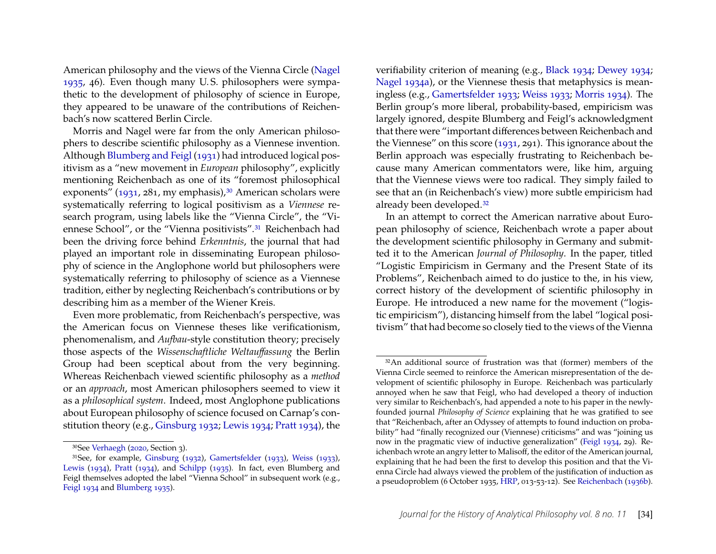American philosophy and the views of the Vienna Circle [\(Nagel](#page-22-18) [1935,](#page-22-18) 46). Even though many U. S. philosophers were sympathetic to the development of philosophy of science in Europe, they appeared to be unaware of the contributions of Reichenbach's now scattered Berlin Circle.

Morris and Nagel were far from the only American philosophers to describe scientific philosophy as a Viennese invention. Although [Blumberg and Feigl](#page-20-12) [\(1931\)](#page-20-12) had introduced logical positivism as a "new movement in *European* philosophy", explicitly mentioning Reichenbach as one of its "foremost philosophical exponents" [\(1931,](#page-20-12) 281, my emphasis),<sup>[30](#page-11-0)</sup> American scholars were systematically referring to logical positivism as a *Viennese* research program, using labels like the "Vienna Circle", the "Viennese School", or the "Vienna positivists".[31](#page-11-1) Reichenbach had been the driving force behind *Erkenntnis*, the journal that had played an important role in disseminating European philosophy of science in the Anglophone world but philosophers were systematically referring to philosophy of science as a Viennese tradition, either by neglecting Reichenbach's contributions or by describing him as a member of the Wiener Kreis.

Even more problematic, from Reichenbach's perspective, was the American focus on Viennese theses like verificationism, phenomenalism, and *Aufbau*-style constitution theory; precisely those aspects of the *Wissenschaftliche Weltauffassung* the Berlin Group had been sceptical about from the very beginning. Whereas Reichenbach viewed scientific philosophy as a *method* or an *approach*, most American philosophers seemed to view it as a *philosophical system*. Indeed, most Anglophone publications about European philosophy of science focused on Carnap's constitution theory (e.g., [Ginsburg 1932;](#page-21-17) [Lewis 1934;](#page-21-18) [Pratt 1934\)](#page-22-19), the

verifiability criterion of meaning (e.g., [Black 1934;](#page-20-14) [Dewey 1934;](#page-20-15) [Nagel 1934a\)](#page-22-20), or the Viennese thesis that metaphysics is meaningless (e.g., [Gamertsfelder 1933;](#page-21-19) [Weiss 1933;](#page-24-4) [Morris 1934\)](#page-21-21). The Berlin group's more liberal, probability-based, empiricism was largely ignored, despite Blumberg and Feigl's acknowledgment that there were "important differences between Reichenbach and the Viennese" on this score [\(1931,](#page-20-12) 291). This ignorance about the Berlin approach was especially frustrating to Reichenbach because many American commentators were, like him, arguing that the Viennese views were too radical. They simply failed to see that an (in Reichenbach's view) more subtle empiricism had already been developed.[32](#page-11-2)

In an attempt to correct the American narrative about European philosophy of science, Reichenbach wrote a paper about the development scientific philosophy in Germany and submitted it to the American *Journal of Philosophy*. In the paper, titled "Logistic Empiricism in Germany and the Present State of its Problems", Reichenbach aimed to do justice to the, in his view, correct history of the development of scientific philosophy in Europe. He introduced a new name for the movement ("logistic empiricism"), distancing himself from the label "logical positivism" that had become so closely tied to the views of the Vienna

<span id="page-11-1"></span><span id="page-11-0"></span><sup>30</sup>See [Verhaegh](#page-23-0) [\(2020,](#page-23-0) Section 3).

<sup>31</sup>See, for example, [Ginsburg](#page-21-17) [\(1932\)](#page-21-17), [Gamertsfelder](#page-21-19) [\(1933\)](#page-21-19), [Weiss](#page-24-4) [\(1933\)](#page-24-4), [Lewis](#page-21-18) [\(1934\)](#page-21-18), [Pratt](#page-22-19) [\(1934\)](#page-22-19), and [Schilpp](#page-23-14) [\(1935\)](#page-23-14). In fact, even Blumberg and Feigl themselves adopted the label "Vienna School" in subsequent work (e.g., [Feigl 1934](#page-21-20) and [Blumberg 1935\)](#page-20-13).

<span id="page-11-2"></span><sup>32</sup>An additional source of frustration was that (former) members of the Vienna Circle seemed to reinforce the American misrepresentation of the development of scientific philosophy in Europe. Reichenbach was particularly annoyed when he saw that Feigl, who had developed a theory of induction very similar to Reichenbach's, had appended a note to his paper in the newlyfounded journal *Philosophy of Science* explaining that he was gratified to see that "Reichenbach, after an Odyssey of attempts to found induction on probability" had "finally recognized our (Viennese) criticisms" and was "joining us now in the pragmatic view of inductive generalization" [\(Feigl 1934,](#page-21-20) 29). Reichenbach wrote an angry letter to Malisoff, the editor of the American journal, explaining that he had been the first to develop this position and that the Vienna Circle had always viewed the problem of the justification of induction as a pseudoproblem (6 October 1935, [HRP,](#page-20-0) 013-53-12). See [Reichenbach](#page-23-15) [\(1936b\)](#page-23-15).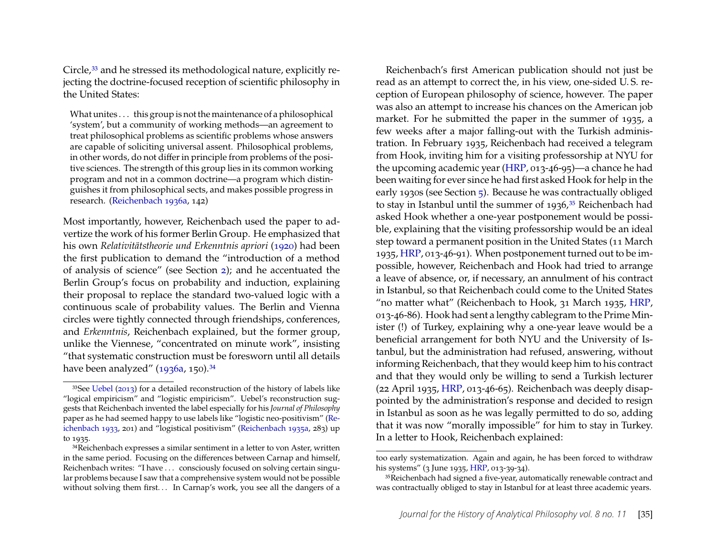Circle,<sup>[33](#page-12-0)</sup> and he stressed its methodological nature, explicitly rejecting the doctrine-focused reception of scientific philosophy in the United States:

What unites . . . this group is not the maintenance of a philosophical 'system', but a community of working methods—an agreement to treat philosophical problems as scientific problems whose answers are capable of soliciting universal assent. Philosophical problems, in other words, do not differ in principle from problems of the positive sciences. The strength of this group lies in its common working program and not in a common doctrine—a program which distinguishes it from philosophical sects, and makes possible progress in research. [\(Reichenbach 1936a,](#page-23-16) 142)

Most importantly, however, Reichenbach used the paper to advertize the work of his former Berlin Group. He emphasized that his own *Relativitätstheorie und Erkenntnis apriori* [\(1920\)](#page-22-0) had been the first publication to demand the "introduction of a method of analysis of science" (see Section [2\)](#page-1-1); and he accentuated the Berlin Group's focus on probability and induction, explaining their proposal to replace the standard two-valued logic with a continuous scale of probability values. The Berlin and Vienna circles were tightly connected through friendships, conferences, and *Erkenntnis*, Reichenbach explained, but the former group, unlike the Viennese, "concentrated on minute work", insisting "that systematic construction must be foresworn until all details have been analyzed" [\(1936a,](#page-23-16) 150).<sup>[34](#page-12-1)</sup>

Reichenbach's first American publication should not just be read as an attempt to correct the, in his view, one-sided U. S. reception of European philosophy of science, however. The paper was also an attempt to increase his chances on the American job market. For he submitted the paper in the summer of 1935, a few weeks after a major falling-out with the Turkish administration. In February 1935, Reichenbach had received a telegram from Hook, inviting him for a visiting professorship at NYU for the upcoming academic year [\(HRP,](#page-20-0) 013-46-95)—a chance he had been waiting for ever since he had first asked Hook for help in the early 1930s (see Section [5\)](#page-6-0). Because he was contractually obliged to stay in Istanbul until the summer of 1936,<sup>[35](#page-12-2)</sup> Reichenbach had asked Hook whether a one-year postponement would be possible, explaining that the visiting professorship would be an ideal step toward a permanent position in the United States (11 March 1935, [HRP,](#page-20-0) 013-46-91). When postponement turned out to be impossible, however, Reichenbach and Hook had tried to arrange a leave of absence, or, if necessary, an annulment of his contract in Istanbul, so that Reichenbach could come to the United States "no matter what" (Reichenbach to Hook, 31 March 1935, [HRP,](#page-20-0) 013-46-86). Hook had sent a lengthy cablegram to the Prime Minister (!) of Turkey, explaining why a one-year leave would be a beneficial arrangement for both NYU and the University of Istanbul, but the administration had refused, answering, without informing Reichenbach, that they would keep him to his contract and that they would only be willing to send a Turkish lecturer (22 April 1935, [HRP,](#page-20-0) 013-46-65). Reichenbach was deeply disappointed by the administration's response and decided to resign in Istanbul as soon as he was legally permitted to do so, adding that it was now "morally impossible" for him to stay in Turkey. In a letter to Hook, Reichenbach explained:

<span id="page-12-0"></span><sup>33</sup>See [Uebel](#page-23-17) [\(2013\)](#page-23-17) for a detailed reconstruction of the history of labels like "logical empiricism" and "logistic empiricism". Uebel's reconstruction suggests that Reichenbach invented the label especially for his *Journal of Philosophy* paper as he had seemed happy to use labels like "logistic neo-positivism" [\(Re](#page-22-21)[ichenbach 1933,](#page-22-21) 201) and "logistical positivism" [\(Reichenbach 1935a,](#page-22-22) 283) up to 1935.

<span id="page-12-1"></span><sup>34</sup>Reichenbach expresses a similar sentiment in a letter to von Aster, written in the same period. Focusing on the differences between Carnap and himself, Reichenbach writes: "I have . . . consciously focused on solving certain singular problems because I saw that a comprehensive system would not be possible without solving them first... In Carnap's work, you see all the dangers of a

too early systematization. Again and again, he has been forced to withdraw his systems" (3 June 1935, [HRP,](#page-20-0) 013-39-34).

<span id="page-12-2"></span><sup>35</sup>Reichenbach had signed a five-year, automatically renewable contract and was contractually obliged to stay in Istanbul for at least three academic years.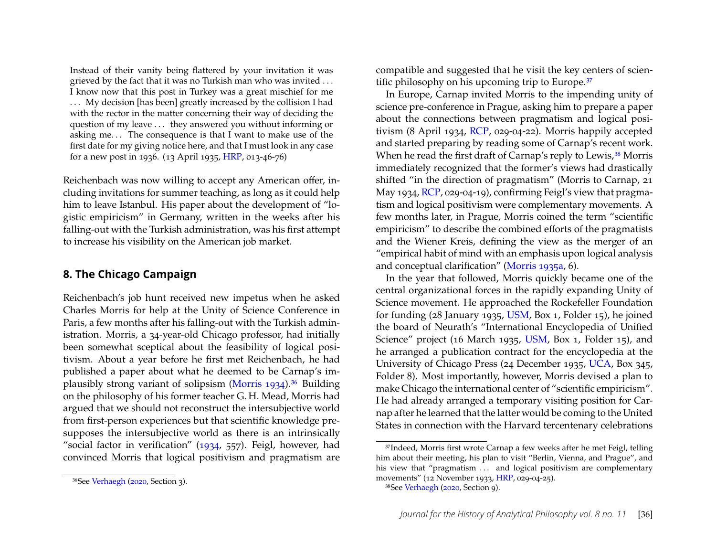Instead of their vanity being flattered by your invitation it was grieved by the fact that it was no Turkish man who was invited . . . I know now that this post in Turkey was a great mischief for me ... My decision [has been] greatly increased by the collision I had with the rector in the matter concerning their way of deciding the question of my leave . . . they answered you without informing or asking me. . . The consequence is that I want to make use of the first date for my giving notice here, and that I must look in any case for a new post in 1936. (13 April 1935, [HRP,](#page-20-0) 013-46-76)

Reichenbach was now willing to accept any American offer, including invitations for summer teaching, as long as it could help him to leave Istanbul. His paper about the development of "logistic empiricism" in Germany, written in the weeks after his falling-out with the Turkish administration, was his first attempt to increase his visibility on the American job market.

#### <span id="page-13-0"></span>**8. The Chicago Campaign**

Reichenbach's job hunt received new impetus when he asked Charles Morris for help at the Unity of Science Conference in Paris, a few months after his falling-out with the Turkish administration. Morris, a 34-year-old Chicago professor, had initially been somewhat sceptical about the feasibility of logical positivism. About a year before he first met Reichenbach, he had published a paper about what he deemed to be Carnap's im-plausibly strong variant of solipsism [\(Morris 1934\)](#page-21-21).<sup>[36](#page-13-1)</sup> Building on the philosophy of his former teacher G. H. Mead, Morris had argued that we should not reconstruct the intersubjective world from first-person experiences but that scientific knowledge presupposes the intersubjective world as there is an intrinsically "social factor in verification" [\(1934,](#page-21-21) 557). Feigl, however, had convinced Morris that logical positivism and pragmatism are compatible and suggested that he visit the key centers of scien-tific philosophy on his upcoming trip to Europe.<sup>[37](#page-13-2)</sup>

In Europe, Carnap invited Morris to the impending unity of science pre-conference in Prague, asking him to prepare a paper about the connections between pragmatism and logical positivism (8 April 1934, [RCP,](#page-20-1) 029-04-22). Morris happily accepted and started preparing by reading some of Carnap's recent work. When he read the first draft of Carnap's reply to Lewis,<sup>[38](#page-13-3)</sup> Morris immediately recognized that the former's views had drastically shifted "in the direction of pragmatism" (Morris to Carnap, 21 May 1934, [RCP,](#page-20-1) 029-04-19), confirming Feigl's view that pragmatism and logical positivism were complementary movements. A few months later, in Prague, Morris coined the term "scientific empiricism" to describe the combined efforts of the pragmatists and the Wiener Kreis, defining the view as the merger of an "empirical habit of mind with an emphasis upon logical analysis and conceptual clarification" [\(Morris 1935a,](#page-22-16) 6).

In the year that followed, Morris quickly became one of the central organizational forces in the rapidly expanding Unity of Science movement. He approached the Rockefeller Foundation for funding (28 January 1935, [USM,](#page-20-2) Box 1, Folder 15), he joined the board of Neurath's "International Encyclopedia of Unified Science" project (16 March 1935, [USM,](#page-20-2) Box 1, Folder 15), and he arranged a publication contract for the encyclopedia at the University of Chicago Press (24 December 1935, [UCA,](#page-20-4) Box 345, Folder 8). Most importantly, however, Morris devised a plan to make Chicago the international center of "scientific empiricism". He had already arranged a temporary visiting position for Carnap after he learned that the latter would be coming to the United States in connection with the Harvard tercentenary celebrations

<span id="page-13-1"></span><sup>36</sup>See [Verhaegh](#page-23-0) [\(2020,](#page-23-0) Section 3).

<span id="page-13-2"></span><sup>37</sup>Indeed, Morris first wrote Carnap a few weeks after he met Feigl, telling him about their meeting, his plan to visit "Berlin, Vienna, and Prague", and his view that "pragmatism ... and logical positivism are complementary movements" (12 November 1933, [HRP,](#page-20-0) 029-04-25).

<span id="page-13-3"></span><sup>38</sup>See [Verhaegh](#page-23-0) [\(2020,](#page-23-0) Section 9).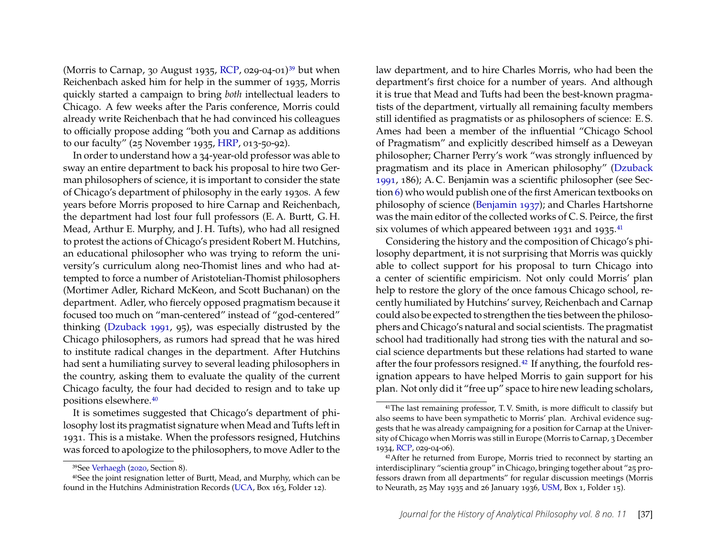(Morris to Carnap, 30 August 1935, [RCP,](#page-20-1) 029-04-01)<sup>[39](#page-14-0)</sup> but when Reichenbach asked him for help in the summer of 1935, Morris quickly started a campaign to bring *both* intellectual leaders to Chicago. A few weeks after the Paris conference, Morris could already write Reichenbach that he had convinced his colleagues to officially propose adding "both you and Carnap as additions to our faculty" (25 November 1935, [HRP,](#page-20-0) 013-50-92).

In order to understand how a 34-year-old professor was able to sway an entire department to back his proposal to hire two German philosophers of science, it is important to consider the state of Chicago's department of philosophy in the early 1930s. A few years before Morris proposed to hire Carnap and Reichenbach, the department had lost four full professors (E. A. Burtt, G. H. Mead, Arthur E. Murphy, and J. H. Tufts), who had all resigned to protest the actions of Chicago's president Robert M. Hutchins, an educational philosopher who was trying to reform the university's curriculum along neo-Thomist lines and who had attempted to force a number of Aristotelian-Thomist philosophers (Mortimer Adler, Richard McKeon, and Scott Buchanan) on the department. Adler, who fiercely opposed pragmatism because it focused too much on "man-centered" instead of "god-centered" thinking [\(Dzuback 1991,](#page-21-22) 95), was especially distrusted by the Chicago philosophers, as rumors had spread that he was hired to institute radical changes in the department. After Hutchins had sent a humiliating survey to several leading philosophers in the country, asking them to evaluate the quality of the current Chicago faculty, the four had decided to resign and to take up positions elsewhere.[40](#page-14-1)

It is sometimes suggested that Chicago's department of philosophy lost its pragmatist signature when Mead and Tufts left in 1931. This is a mistake. When the professors resigned, Hutchins was forced to apologize to the philosophers, to move Adler to the

law department, and to hire Charles Morris, who had been the department's first choice for a number of years. And although it is true that Mead and Tufts had been the best-known pragmatists of the department, virtually all remaining faculty members still identified as pragmatists or as philosophers of science: E. S. Ames had been a member of the influential "Chicago School of Pragmatism" and explicitly described himself as a Deweyan philosopher; Charner Perry's work "was strongly influenced by pragmatism and its place in American philosophy" [\(Dzuback](#page-21-22) [1991,](#page-21-22) 186); A. C. Benjamin was a scientific philosopher (see Section [6\)](#page-8-0) who would publish one of the first American textbooks on philosophy of science [\(Benjamin 1937\)](#page-20-16); and Charles Hartshorne was the main editor of the collected works of C. S. Peirce, the first six volumes of which appeared between 1931 and 1935. $41$ 

Considering the history and the composition of Chicago's philosophy department, it is not surprising that Morris was quickly able to collect support for his proposal to turn Chicago into a center of scientific empiricism. Not only could Morris' plan help to restore the glory of the once famous Chicago school, recently humiliated by Hutchins' survey, Reichenbach and Carnap could also be expected to strengthen the ties between the philosophers and Chicago's natural and social scientists. The pragmatist school had traditionally had strong ties with the natural and social science departments but these relations had started to wane after the four professors resigned.[42](#page-14-3) If anything, the fourfold resignation appears to have helped Morris to gain support for his plan. Not only did it "free up" space to hire new leading scholars,

<span id="page-14-1"></span><span id="page-14-0"></span><sup>39</sup>See [Verhaegh](#page-23-0) [\(2020,](#page-23-0) Section 8).

<sup>40</sup>See the joint resignation letter of Burtt, Mead, and Murphy, which can be found in the Hutchins Administration Records [\(UCA,](#page-20-4) Box 163, Folder 12).

<span id="page-14-2"></span><sup>41</sup>The last remaining professor, T. V. Smith, is more difficult to classify but also seems to have been sympathetic to Morris' plan. Archival evidence suggests that he was already campaigning for a position for Carnap at the University of Chicago when Morris was still in Europe (Morris to Carnap, 3 December 1934, [RCP,](#page-20-1) 029-04-06).

<span id="page-14-3"></span><sup>&</sup>lt;sup>42</sup>After he returned from Europe, Morris tried to reconnect by starting an interdisciplinary "scientia group" in Chicago, bringing together about "25 professors drawn from all departments" for regular discussion meetings (Morris to Neurath, 25 May 1935 and 26 January 1936, [USM,](#page-20-2) Box 1, Folder 15).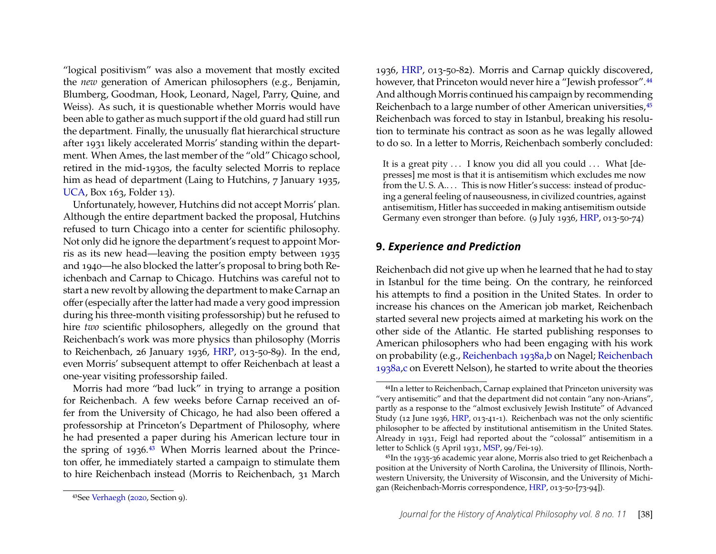"logical positivism" was also a movement that mostly excited the *new* generation of American philosophers (e.g., Benjamin, Blumberg, Goodman, Hook, Leonard, Nagel, Parry, Quine, and Weiss). As such, it is questionable whether Morris would have been able to gather as much support if the old guard had still run the department. Finally, the unusually flat hierarchical structure after 1931 likely accelerated Morris' standing within the department. When Ames, the last member of the "old" Chicago school, retired in the mid-1930s, the faculty selected Morris to replace him as head of department (Laing to Hutchins, 7 January 1935, [UCA,](#page-20-4) Box 163, Folder 13).

Unfortunately, however, Hutchins did not accept Morris' plan. Although the entire department backed the proposal, Hutchins refused to turn Chicago into a center for scientific philosophy. Not only did he ignore the department's request to appoint Morris as its new head—leaving the position empty between 1935 and 1940—he also blocked the latter's proposal to bring both Reichenbach and Carnap to Chicago. Hutchins was careful not to start a new revolt by allowing the department to make Carnap an offer (especially after the latter had made a very good impression during his three-month visiting professorship) but he refused to hire *two* scientific philosophers, allegedly on the ground that Reichenbach's work was more physics than philosophy (Morris to Reichenbach, 26 January 1936, [HRP,](#page-20-0) 013-50-89). In the end, even Morris' subsequent attempt to offer Reichenbach at least a one-year visiting professorship failed.

Morris had more "bad luck" in trying to arrange a position for Reichenbach. A few weeks before Carnap received an offer from the University of Chicago, he had also been offered a professorship at Princeton's Department of Philosophy, where he had presented a paper during his American lecture tour in the spring of 1936.[43](#page-15-1) When Morris learned about the Princeton offer, he immediately started a campaign to stimulate them to hire Reichenbach instead (Morris to Reichenbach, 31 March 1936, [HRP,](#page-20-0) 013-50-82). Morris and Carnap quickly discovered, however, that Princeton would never hire a "Jewish professor".<sup>[44](#page-15-2)</sup> And although Morris continued his campaign by recommending Reichenbach to a large number of other American universities,  $45$ Reichenbach was forced to stay in Istanbul, breaking his resolution to terminate his contract as soon as he was legally allowed to do so. In a letter to Morris, Reichenbach somberly concluded:

It is a great pity ... I know you did all you could ... What [depresses] me most is that it is antisemitism which excludes me now from the U.S.A.... This is now Hitler's success: instead of producing a general feeling of nauseousness, in civilized countries, against antisemitism, Hitler has succeeded in making antisemitism outside Germany even stronger than before. (9 July 1936, [HRP,](#page-20-0) 013-50-74)

# <span id="page-15-0"></span>**9.** *Experience and Prediction*

Reichenbach did not give up when he learned that he had to stay in Istanbul for the time being. On the contrary, he reinforced his attempts to find a position in the United States. In order to increase his chances on the American job market, Reichenbach started several new projects aimed at marketing his work on the other side of the Atlantic. He started publishing responses to American philosophers who had been engaging with his work on probability (e.g., [Reichenbach 1938a,](#page-23-1)[b](#page-23-18) on Nagel; [Reichenbach](#page-23-1) [1938a](#page-23-1)[,c](#page-23-19) on Everett Nelson), he started to write about the theories

<span id="page-15-2"></span><sup>44</sup>In a letter to Reichenbach, Carnap explained that Princeton university was "very antisemitic" and that the department did not contain "any non-Arians", partly as a response to the "almost exclusively Jewish Institute" of Advanced Study (12 June 1936, [HRP,](#page-20-0) 013-41-1). Reichenbach was not the only scientific philosopher to be affected by institutional antisemitism in the United States. Already in 1931, Feigl had reported about the "colossal" antisemitism in a letter to Schlick (5 April 1931, [MSP,](#page-20-3) 99/Fei-19).

<span id="page-15-3"></span><sup>45</sup>In the 1935-36 academic year alone, Morris also tried to get Reichenbach a position at the University of North Carolina, the University of Illinois, Northwestern University, the University of Wisconsin, and the University of Michigan (Reichenbach-Morris correspondence, [HRP,](#page-20-0) 013-50-[73-94]).

<span id="page-15-1"></span><sup>43</sup>See [Verhaegh](#page-23-0) [\(2020,](#page-23-0) Section 9).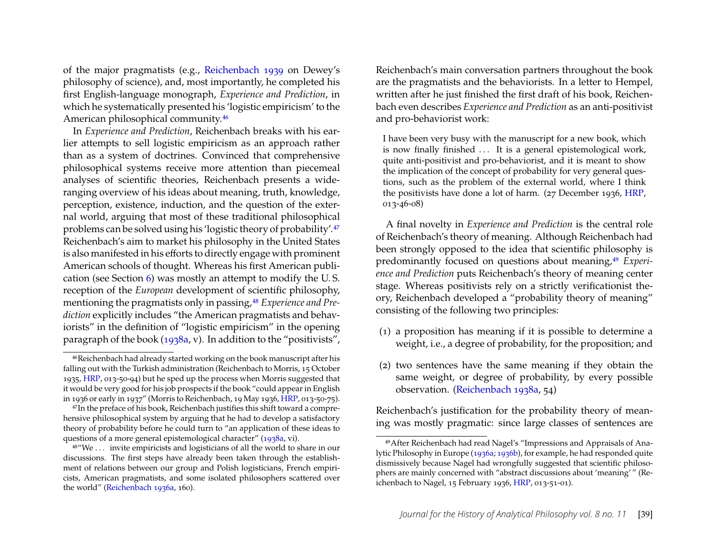of the major pragmatists (e.g., [Reichenbach 1939](#page-23-20) on Dewey's philosophy of science), and, most importantly, he completed his first English-language monograph, *Experience and Prediction*, in which he systematically presented his 'logistic empiricism' to the American philosophical community.[46](#page-16-0)

In *Experience and Prediction*, Reichenbach breaks with his earlier attempts to sell logistic empiricism as an approach rather than as a system of doctrines. Convinced that comprehensive philosophical systems receive more attention than piecemeal analyses of scientific theories, Reichenbach presents a wideranging overview of his ideas about meaning, truth, knowledge, perception, existence, induction, and the question of the external world, arguing that most of these traditional philosophical problems can be solved using his 'logistic theory of probability'.[47](#page-16-1) Reichenbach's aim to market his philosophy in the United States is also manifested in his efforts to directly engage with prominent American schools of thought. Whereas his first American publication (see Section [6\)](#page-8-0) was mostly an attempt to modify the U. S. reception of the *European* development of scientific philosophy, mentioning the pragmatists only in passing,<sup>[48](#page-16-2)</sup> *Experience and Prediction* explicitly includes "the American pragmatists and behaviorists" in the definition of "logistic empiricism" in the opening paragraph of the book [\(1938a,](#page-23-1) v). In addition to the "positivists", Reichenbach's main conversation partners throughout the book are the pragmatists and the behaviorists. In a letter to Hempel, written after he just finished the first draft of his book, Reichenbach even describes *Experience and Prediction* as an anti-positivist and pro-behaviorist work:

I have been very busy with the manuscript for a new book, which is now finally finished ... It is a general epistemological work, quite anti-positivist and pro-behaviorist, and it is meant to show the implication of the concept of probability for very general questions, such as the problem of the external world, where I think the positivists have done a lot of harm. (27 December 1936, [HRP,](#page-20-0) 013-46-08)

A final novelty in *Experience and Prediction* is the central role of Reichenbach's theory of meaning. Although Reichenbach had been strongly opposed to the idea that scientific philosophy is predominantly focused on questions about meaning,<sup>[49](#page-16-3)</sup> *Experience and Prediction* puts Reichenbach's theory of meaning center stage. Whereas positivists rely on a strictly verificationist theory, Reichenbach developed a "probability theory of meaning" consisting of the following two principles:

- (1) a proposition has meaning if it is possible to determine a weight, i.e., a degree of probability, for the proposition; and
- (2) two sentences have the same meaning if they obtain the same weight, or degree of probability, by every possible observation. [\(Reichenbach 1938a,](#page-23-1) 54)

Reichenbach's justification for the probability theory of meaning was mostly pragmatic: since large classes of sentences are

<span id="page-16-0"></span><sup>46</sup>Reichenbach had already started working on the book manuscript after his falling out with the Turkish administration (Reichenbach to Morris, 15 October 1935, [HRP,](#page-20-0) 013-50-94) but he sped up the process when Morris suggested that it would be very good for his job prospects if the book "could appear in English in 1936 or early in 1937" (Morris to Reichenbach, 19 May 1936, [HRP,](#page-20-0) 013-50-75).

<span id="page-16-1"></span><sup>&</sup>lt;sup>47</sup>In the preface of his book, Reichenbach justifies this shift toward a comprehensive philosophical system by arguing that he had to develop a satisfactory theory of probability before he could turn to "an application of these ideas to questions of a more general epistemological character" [\(1938a,](#page-23-1) vi).

<span id="page-16-2"></span><sup>48</sup>"We . . . invite empiricists and logisticians of all the world to share in our discussions. The first steps have already been taken through the establishment of relations between our group and Polish logisticians, French empiricists, American pragmatists, and some isolated philosophers scattered over the world" [\(Reichenbach 1936a,](#page-23-16) 160).

<span id="page-16-3"></span><sup>49</sup>After Reichenbach had read Nagel's "Impressions and Appraisals of Analytic Philosophy in Europe [\(1936a;](#page-22-23) [1936b\)](#page-22-24), for example, he had responded quite dismissively because Nagel had wrongfully suggested that scientific philosophers are mainly concerned with "abstract discussions about 'meaning' " (Reichenbach to Nagel, 15 February 1936, [HRP,](#page-20-0) 013-51-01).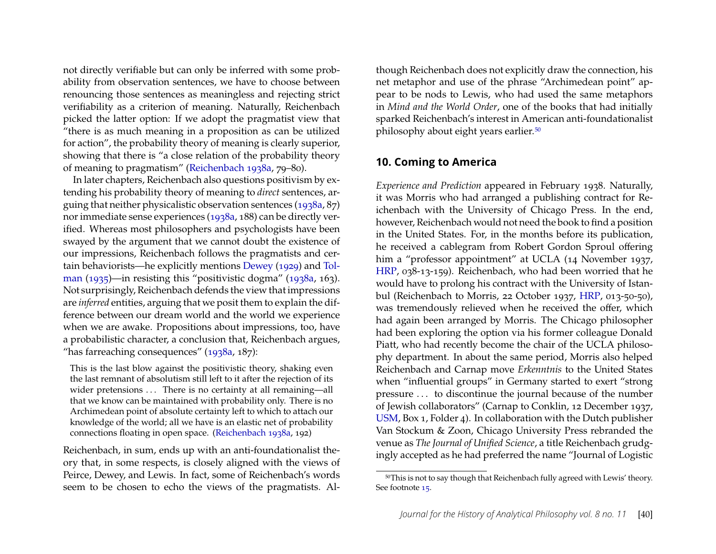not directly verifiable but can only be inferred with some probability from observation sentences, we have to choose between renouncing those sentences as meaningless and rejecting strict verifiability as a criterion of meaning. Naturally, Reichenbach picked the latter option: If we adopt the pragmatist view that "there is as much meaning in a proposition as can be utilized for action", the probability theory of meaning is clearly superior, showing that there is "a close relation of the probability theory of meaning to pragmatism" [\(Reichenbach 1938a,](#page-23-1) 79–80).

In later chapters, Reichenbach also questions positivism by extending his probability theory of meaning to *direct* sentences, arguing that neither physicalistic observation sentences [\(1938a,](#page-23-1) 87) nor immediate sense experiences [\(1938a,](#page-23-1) 188) can be directly verified. Whereas most philosophers and psychologists have been swayed by the argument that we cannot doubt the existence of our impressions, Reichenbach follows the pragmatists and certain behaviorists—he explicitly mentions [Dewey](#page-20-17) [\(1929\)](#page-20-17) and [Tol](#page-23-21)[man](#page-23-21) [\(1935\)](#page-23-21)—in resisting this "positivistic dogma" [\(1938a,](#page-23-1) 163). Not surprisingly, Reichenbach defends the view that impressions are *inferred* entities, arguing that we posit them to explain the difference between our dream world and the world we experience when we are awake. Propositions about impressions, too, have a probabilistic character, a conclusion that, Reichenbach argues, "has farreaching consequences" [\(1938a,](#page-23-1) 187):

This is the last blow against the positivistic theory, shaking even the last remnant of absolutism still left to it after the rejection of its wider pretensions ... There is no certainty at all remaining—all that we know can be maintained with probability only. There is no Archimedean point of absolute certainty left to which to attach our knowledge of the world; all we have is an elastic net of probability connections floating in open space. [\(Reichenbach 1938a,](#page-23-1) 192)

Reichenbach, in sum, ends up with an anti-foundationalist theory that, in some respects, is closely aligned with the views of Peirce, Dewey, and Lewis. In fact, some of Reichenbach's words seem to be chosen to echo the views of the pragmatists. Although Reichenbach does not explicitly draw the connection, his net metaphor and use of the phrase "Archimedean point" appear to be nods to Lewis, who had used the same metaphors in *Mind and the World Order*, one of the books that had initially sparked Reichenbach's interest in American anti-foundationalist philosophy about eight years earlier.[50](#page-17-1)

#### <span id="page-17-0"></span>**10. Coming to America**

*Experience and Prediction* appeared in February 1938. Naturally, it was Morris who had arranged a publishing contract for Reichenbach with the University of Chicago Press. In the end, however, Reichenbach would not need the book to find a position in the United States. For, in the months before its publication, he received a cablegram from Robert Gordon Sproul offering him a "professor appointment" at UCLA (14 November 1937, [HRP,](#page-20-0) 038-13-159). Reichenbach, who had been worried that he would have to prolong his contract with the University of Istanbul (Reichenbach to Morris, 22 October 1937, [HRP,](#page-20-0) 013-50-50), was tremendously relieved when he received the offer, which had again been arranged by Morris. The Chicago philosopher had been exploring the option via his former colleague Donald Piatt, who had recently become the chair of the UCLA philosophy department. In about the same period, Morris also helped Reichenbach and Carnap move *Erkenntnis* to the United States when "influential groups" in Germany started to exert "strong pressure . . . to discontinue the journal because of the number of Jewish collaborators" (Carnap to Conklin, 12 December 1937, [USM,](#page-20-2) Box 1, Folder 4). In collaboration with the Dutch publisher Van Stockum & Zoon, Chicago University Press rebranded the venue as *The Journal of Unified Science*, a title Reichenbach grudgingly accepted as he had preferred the name "Journal of Logistic

<span id="page-17-1"></span><sup>50</sup>This is not to say though that Reichenbach fully agreed with Lewis' theory. See footnote [15.](#page-5-2)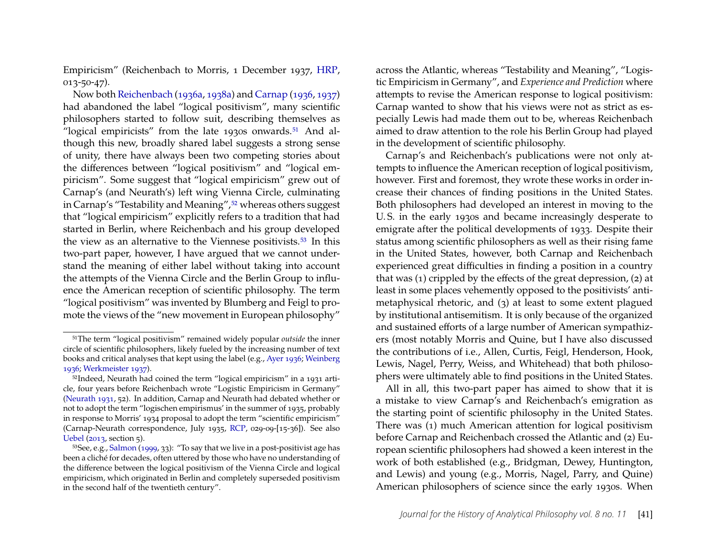Empiricism" (Reichenbach to Morris, 1 December 1937, [HRP,](#page-20-0) 013-50-47).

Now both [Reichenbach](#page-23-16) [\(1936a,](#page-23-16) [1938a\)](#page-23-1) and [Carnap](#page-20-18) [\(1936,](#page-20-18) [1937\)](#page-20-19) had abandoned the label "logical positivism", many scientific philosophers started to follow suit, describing themselves as "logical empiricists" from the late 1930s onwards.<sup>[51](#page-18-0)</sup> And although this new, broadly shared label suggests a strong sense of unity, there have always been two competing stories about the differences between "logical positivism" and "logical empiricism". Some suggest that "logical empiricism" grew out of Carnap's (and Neurath's) left wing Vienna Circle, culminating in Carnap's "Testability and Meaning", <sup>[52](#page-18-1)</sup> whereas others suggest that "logical empiricism" explicitly refers to a tradition that had started in Berlin, where Reichenbach and his group developed the view as an alternative to the Viennese positivists.<sup>[53](#page-18-2)</sup> In this two-part paper, however, I have argued that we cannot understand the meaning of either label without taking into account the attempts of the Vienna Circle and the Berlin Group to influence the American reception of scientific philosophy. The term "logical positivism" was invented by Blumberg and Feigl to promote the views of the "new movement in European philosophy"

across the Atlantic, whereas "Testability and Meaning", "Logistic Empiricism in Germany", and *Experience and Prediction* where attempts to revise the American response to logical positivism: Carnap wanted to show that his views were not as strict as especially Lewis had made them out to be, whereas Reichenbach aimed to draw attention to the role his Berlin Group had played in the development of scientific philosophy.

Carnap's and Reichenbach's publications were not only attempts to influence the American reception of logical positivism, however. First and foremost, they wrote these works in order increase their chances of finding positions in the United States. Both philosophers had developed an interest in moving to the U. S. in the early 1930s and became increasingly desperate to emigrate after the political developments of 1933. Despite their status among scientific philosophers as well as their rising fame in the United States, however, both Carnap and Reichenbach experienced great difficulties in finding a position in a country that was (1) crippled by the effects of the great depression, (2) at least in some places vehemently opposed to the positivists' antimetaphysical rhetoric, and (3) at least to some extent plagued by institutional antisemitism. It is only because of the organized and sustained efforts of a large number of American sympathizers (most notably Morris and Quine, but I have also discussed the contributions of i.e., Allen, Curtis, Feigl, Henderson, Hook, Lewis, Nagel, Perry, Weiss, and Whitehead) that both philosophers were ultimately able to find positions in the United States.

All in all, this two-part paper has aimed to show that it is a mistake to view Carnap's and Reichenbach's emigration as the starting point of scientific philosophy in the United States. There was (1) much American attention for logical positivism before Carnap and Reichenbach crossed the Atlantic and (2) European scientific philosophers had showed a keen interest in the work of both established (e.g., Bridgman, Dewey, Huntington, and Lewis) and young (e.g., Morris, Nagel, Parry, and Quine) American philosophers of science since the early 1930s. When

<span id="page-18-0"></span><sup>51</sup>The term "logical positivism" remained widely popular *outside* the inner circle of scientific philosophers, likely fueled by the increasing number of text books and critical analyses that kept using the label (e.g., [Ayer 1936;](#page-20-20) [Weinberg](#page-24-5) [1936;](#page-24-5) [Werkmeister 1937\)](#page-24-6).

<span id="page-18-1"></span><sup>52</sup>Indeed, Neurath had coined the term "logical empiricism" in a 1931 article, four years before Reichenbach wrote "Logistic Empiricism in Germany" [\(Neurath 1931,](#page-22-25) 52). In addition, Carnap and Neurath had debated whether or not to adopt the term "logischen empirismus' in the summer of 1935, probably in response to Morris' 1934 proposal to adopt the term "scientific empiricism" (Carnap-Neurath correspondence, July 1935, [RCP,](#page-20-1) 029-09-[15-36]). See also [Uebel](#page-23-17) [\(2013,](#page-23-17) section 5).

<span id="page-18-2"></span><sup>53</sup>See, e.g., [Salmon](#page-23-22) [\(1999,](#page-23-22) 33): "To say that we live in a post-positivist age has been a cliché for decades, often uttered by those who have no understanding of the difference between the logical positivism of the Vienna Circle and logical empiricism, which originated in Berlin and completely superseded positivism in the second half of the twentieth century".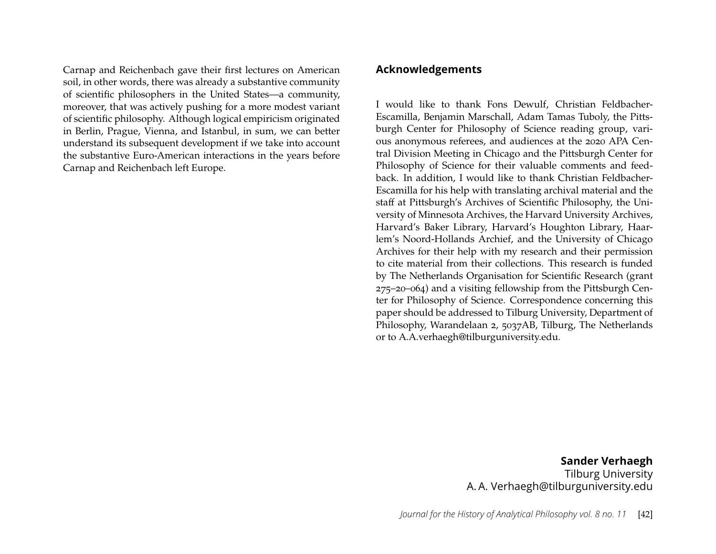Carnap and Reichenbach gave their first lectures on American soil, in other words, there was already a substantive community of scientific philosophers in the United States—a community, moreover, that was actively pushing for a more modest variant of scientific philosophy. Although logical empiricism originated in Berlin, Prague, Vienna, and Istanbul, in sum, we can better understand its subsequent development if we take into account the substantive Euro-American interactions in the years before Carnap and Reichenbach left Europe.

#### **Acknowledgements**

I would like to thank Fons Dewulf, Christian Feldbacher-Escamilla, Benjamin Marschall, Adam Tamas Tuboly, the Pittsburgh Center for Philosophy of Science reading group, various anonymous referees, and audiences at the 2020 APA Central Division Meeting in Chicago and the Pittsburgh Center for Philosophy of Science for their valuable comments and feedback. In addition, I would like to thank Christian Feldbacher-Escamilla for his help with translating archival material and the staff at Pittsburgh's Archives of Scientific Philosophy, the University of Minnesota Archives, the Harvard University Archives, Harvard's Baker Library, Harvard's Houghton Library, Haarlem's Noord-Hollands Archief, and the University of Chicago Archives for their help with my research and their permission to cite material from their collections. This research is funded by The Netherlands Organisation for Scientific Research (grant 275–20–064) and a visiting fellowship from the Pittsburgh Center for Philosophy of Science. Correspondence concerning this paper should be addressed to Tilburg University, Department of Philosophy, Warandelaan 2, 5037AB, Tilburg, The Netherlands or to A.A.verhaegh@tilburguniversity.edu.

> **Sander Verhaegh** Tilburg University A. A. Verhaegh@tilburguniversity.edu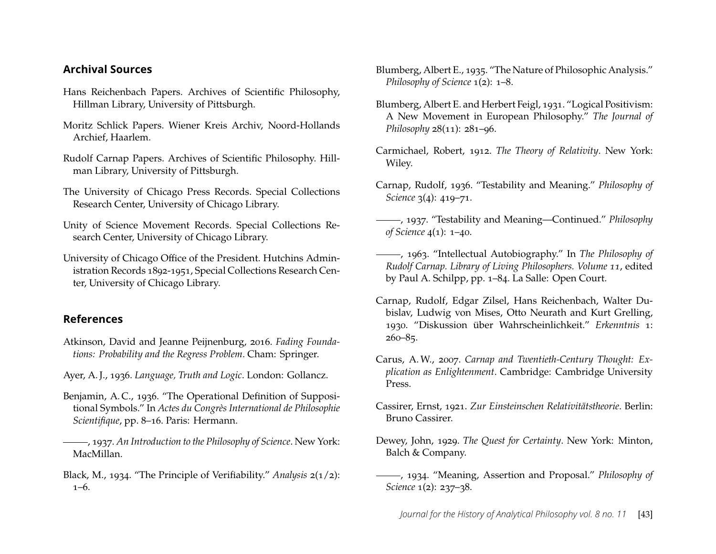#### **Archival Sources**

- <span id="page-20-0"></span>Hans Reichenbach Papers. Archives of Scientific Philosophy, Hillman Library, University of Pittsburgh.
- <span id="page-20-3"></span>Moritz Schlick Papers. Wiener Kreis Archiv, Noord-Hollands Archief, Haarlem.
- <span id="page-20-1"></span>Rudolf Carnap Papers. Archives of Scientific Philosophy. Hillman Library, University of Pittsburgh.
- <span id="page-20-4"></span>The University of Chicago Press Records. Special Collections Research Center, University of Chicago Library.
- <span id="page-20-2"></span>Unity of Science Movement Records. Special Collections Research Center, University of Chicago Library.
- University of Chicago Office of the President. Hutchins Administration Records 1892-1951, Special Collections Research Center, University of Chicago Library.

# **References**

- <span id="page-20-8"></span>Atkinson, David and Jeanne Peijnenburg, 2016. *Fading Foundations: Probability and the Regress Problem*. Cham: Springer.
- <span id="page-20-20"></span>Ayer, A. J., 1936. *Language, Truth and Logic*. London: Gollancz.
- <span id="page-20-11"></span>Benjamin, A. C., 1936. "The Operational Definition of Suppositional Symbols." In *Actes du Congrès International de Philosophie Scientifique*, pp. 8–16. Paris: Hermann.
- <span id="page-20-16"></span>, 1937. *An Introduction to the Philosophy of Science*. New York: MacMillan.
- <span id="page-20-14"></span>Black, M., 1934. "The Principle of Verifiability." *Analysis* 2(1/2): 1–6.
- <span id="page-20-13"></span>Blumberg, Albert E., 1935. "The Nature of Philosophic Analysis." *Philosophy of Science* 1(2): 1–8.
- <span id="page-20-12"></span>Blumberg, Albert E. and Herbert Feigl, 1931. "Logical Positivism: A New Movement in European Philosophy." *The Journal of Philosophy* 28(11): 281–96.
- <span id="page-20-6"></span>Carmichael, Robert, 1912. *The Theory of Relativity*. New York: Wiley.
- <span id="page-20-18"></span>Carnap, Rudolf, 1936. "Testability and Meaning." *Philosophy of Science* 3(4): 419–71.
- <span id="page-20-19"></span>, 1937. "Testability and Meaning—Continued." *Philosophy of Science* 4(1): 1–40.
- <span id="page-20-7"></span>, 1963. "Intellectual Autobiography." In *The Philosophy of Rudolf Carnap. Library of Living Philosophers. Volume 11*, edited by Paul A. Schilpp, pp. 1–84. La Salle: Open Court.
- <span id="page-20-9"></span>Carnap, Rudolf, Edgar Zilsel, Hans Reichenbach, Walter Dubislav, Ludwig von Mises, Otto Neurath and Kurt Grelling, 1930. "Diskussion über Wahrscheinlichkeit." *Erkenntnis* 1:  $260 - 85$ .
- <span id="page-20-10"></span>Carus, A. W., 2007. *Carnap and Twentieth-Century Thought: Explication as Enlightenment*. Cambridge: Cambridge University Press.
- <span id="page-20-5"></span>Cassirer, Ernst, 1921. *Zur Einsteinschen Relativitätstheorie*. Berlin: Bruno Cassirer.
- <span id="page-20-17"></span>Dewey, John, 1929. *The Quest for Certainty*. New York: Minton, Balch & Company.
- <span id="page-20-15"></span>, 1934. "Meaning, Assertion and Proposal." *Philosophy of Science* 1(2): 237–38.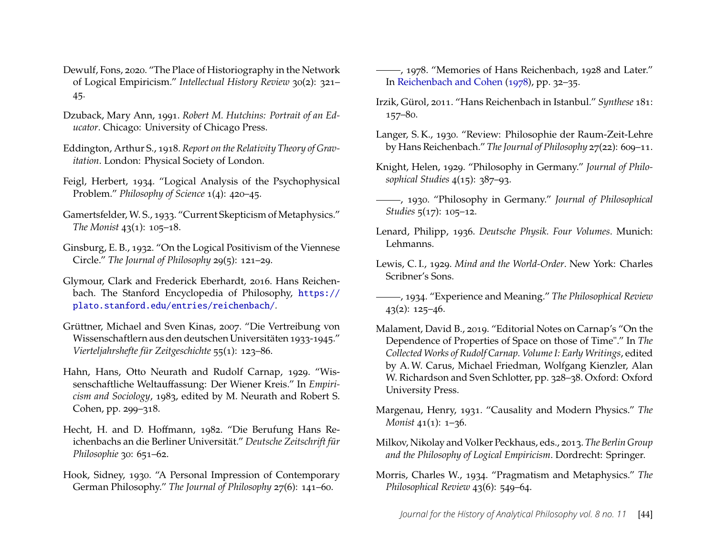- <span id="page-21-13"></span>Dewulf, Fons, 2020. "The Place of Historiography in the Network of Logical Empiricism." *Intellectual History Review* 30(2): 321– 45.
- <span id="page-21-22"></span>Dzuback, Mary Ann, 1991. *Robert M. Hutchins: Portrait of an Educator*. Chicago: University of Chicago Press.
- <span id="page-21-0"></span>Eddington, Arthur S., 1918. *Report on the Relativity Theory of Gravitation*. London: Physical Society of London.
- <span id="page-21-20"></span>Feigl, Herbert, 1934. "Logical Analysis of the Psychophysical Problem." *Philosophy of Science* 1(4): 420–45.
- <span id="page-21-19"></span>Gamertsfelder, W. S., 1933. "Current Skepticism of Metaphysics." *The Monist* 43(1): 105–18.
- <span id="page-21-17"></span>Ginsburg, E. B., 1932. "On the Logical Positivism of the Viennese Circle." *The Journal of Philosophy* 29(5): 121–29.
- <span id="page-21-1"></span>Glymour, Clark and Frederick Eberhardt, 2016. Hans Reichenbach. The Stanford Encyclopedia of Philosophy, [https://](https://plato.stanford.edu/entries/reichenbach/) [plato.stanford.edu/entries/reichenbach/](https://plato.stanford.edu/entries/reichenbach/).
- <span id="page-21-14"></span>Grüttner, Michael and Sven Kinas, 2007. "Die Vertreibung von Wissenschaftlern aus den deutschen Universitäten 1933-1945." *Vierteljahrshefte für Zeitgeschichte* 55(1): 123–86.
- <span id="page-21-12"></span>Hahn, Hans, Otto Neurath and Rudolf Carnap, 1929. "Wissenschaftliche Weltauffassung: Der Wiener Kreis." In *Empiricism and Sociology*, 1983, edited by M. Neurath and Robert S. Cohen, pp. 299–318.
- <span id="page-21-4"></span>Hecht, H. and D. Hoffmann, 1982. "Die Berufung Hans Reichenbachs an die Berliner Universität." *Deutsche Zeitschrift für Philosophie* 30: 651–62.
- <span id="page-21-3"></span>Hook, Sidney, 1930. "A Personal Impression of Contemporary German Philosophy." *The Journal of Philosophy* 27(6): 141–60.
- <span id="page-21-9"></span>-, 1978. "Memories of Hans Reichenbach, 1928 and Later." In [Reichenbach and Cohen](#page-23-23) [\(1978\)](#page-23-23), pp. 32–35.
- <span id="page-21-16"></span>Irzik, Gürol, 2011. "Hans Reichenbach in Istanbul." *Synthese* 181: 157–80.
- <span id="page-21-5"></span>Langer, S. K., 1930. "Review: Philosophie der Raum-Zeit-Lehre by Hans Reichenbach." *The Journal of Philosophy* 27(22): 609–11.
- <span id="page-21-6"></span>Knight, Helen, 1929. "Philosophy in Germany." *Journal of Philosophical Studies* 4(15): 387–93.
- <span id="page-21-7"></span>, 1930. "Philosophy in Germany." *Journal of Philosophical Studies* 5(17): 105–12.
- <span id="page-21-15"></span>Lenard, Philipp, 1936. *Deutsche Physik. Four Volumes*. Munich: Lehmanns.
- <span id="page-21-11"></span>Lewis, C. I., 1929. *Mind and the World-Order*. New York: Charles Scribner's Sons.
- <span id="page-21-18"></span>, 1934. "Experience and Meaning." *The Philosophical Review* 43(2): 125–46.
- <span id="page-21-2"></span>Malament, David B., 2019. "Editorial Notes on Carnap's "On the Dependence of Properties of Space on those of Time"." In *The Collected Works of Rudolf Carnap. Volume I: Early Writings*, edited by A.W. Carus, Michael Friedman, Wolfgang Kienzler, Alan W. Richardson and Sven Schlotter, pp. 328–38. Oxford: Oxford University Press.
- <span id="page-21-8"></span>Margenau, Henry, 1931. "Causality and Modern Physics." *The Monist* 41(1): 1–36.
- <span id="page-21-10"></span>Milkov, Nikolay and Volker Peckhaus, eds., 2013. *The Berlin Group and the Philosophy of Logical Empiricism*. Dordrecht: Springer.
- <span id="page-21-21"></span>Morris, Charles W., 1934. "Pragmatism and Metaphysics." *The Philosophical Review* 43(6): 549–64.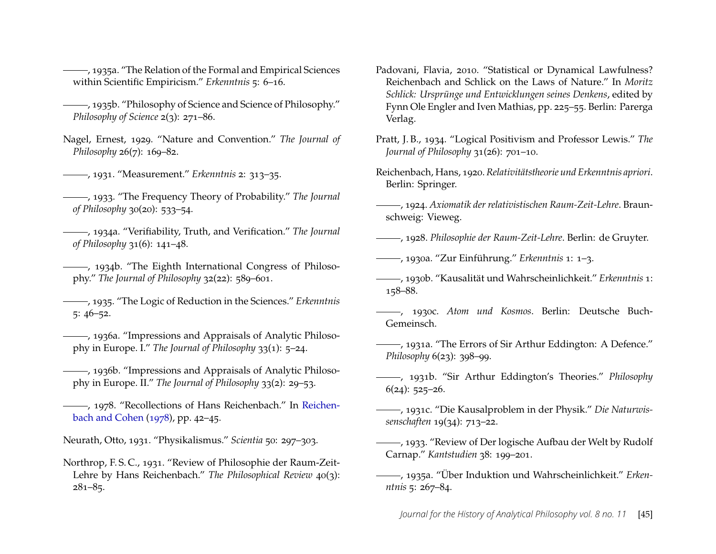<span id="page-22-16"></span>, 1935a. "The Relation of the Formal and Empirical Sciences within Scientific Empiricism." *Erkenntnis* 5: 6–16.

- <span id="page-22-17"></span>, 1935b. "Philosophy of Science and Science of Philosophy." *Philosophy of Science* 2(3): 271–86.
- <span id="page-22-6"></span>Nagel, Ernest, 1929. "Nature and Convention." *The Journal of Philosophy* 26(7): 169–82.
- <span id="page-22-12"></span>, 1931. "Measurement." *Erkenntnis* 2: 313–35.
- <span id="page-22-11"></span>, 1933. "The Frequency Theory of Probability." *The Journal of Philosophy* 30(20): 533–54.
- <span id="page-22-20"></span>, 1934a. "Verifiability, Truth, and Verification." *The Journal of Philosophy* 31(6): 141–48.
- <span id="page-22-3"></span>(1934b. "The Eighth International Congress of Philosophy." *The Journal of Philosophy* 32(22): 589–601.
- <span id="page-22-18"></span>, 1935. "The Logic of Reduction in the Sciences." *Erkenntnis* 5: 46–52.
- <span id="page-22-23"></span>, 1936a. "Impressions and Appraisals of Analytic Philosophy in Europe. I." *The Journal of Philosophy* 33(1): 5–24.
- <span id="page-22-24"></span>, 1936b. "Impressions and Appraisals of Analytic Philosophy in Europe. II." *The Journal of Philosophy* 33(2): 29–53.
- <span id="page-22-10"></span>-, 1978. "Recollections of Hans Reichenbach." In [Reichen](#page-23-23)[bach and Cohen](#page-23-23) [\(1978\)](#page-23-23), pp. 42–45.
- <span id="page-22-25"></span>Neurath, Otto, 1931. "Physikalismus." *Scientia* 50: 297–303.
- <span id="page-22-5"></span>Northrop, F. S. C., 1931. "Review of Philosophie der Raum-Zeit-Lehre by Hans Reichenbach." *The Philosophical Review* 40(3):  $281 - 85$ .
- <span id="page-22-14"></span>Padovani, Flavia, 2010. "Statistical or Dynamical Lawfulness? Reichenbach and Schlick on the Laws of Nature." In *Moritz Schlick: Ursprünge und Entwicklungen seines Denkens*, edited by Fynn Ole Engler and Iven Mathias, pp. 225–55. Berlin: Parerga Verlag.
- <span id="page-22-19"></span>Pratt, J. B., 1934. "Logical Positivism and Professor Lewis." *The Journal of Philosophy* 31(26): 701–10.
- <span id="page-22-0"></span>Reichenbach, Hans, 1920.*Relativitätstheorie und Erkenntnis apriori*. Berlin: Springer.
- <span id="page-22-1"></span>, 1924. *Axiomatik der relativistischen Raum-Zeit-Lehre*. Braunschweig: Vieweg.
- <span id="page-22-4"></span>, 1928. *Philosophie der Raum-Zeit-Lehre*. Berlin: de Gruyter.
- <span id="page-22-15"></span>, 1930a. "Zur Einführung." *Erkenntnis* 1: 1–3.
- <span id="page-22-2"></span>, 1930b. "Kausalität und Wahrscheinlichkeit." *Erkenntnis* 1: 158–88.
- <span id="page-22-9"></span>, 1930c. *Atom und Kosmos*. Berlin: Deutsche Buch-Gemeinsch.
- <span id="page-22-7"></span>, 1931a. "The Errors of Sir Arthur Eddington: A Defence." *Philosophy* 6(23): 398–99.
- <span id="page-22-8"></span>, 1931b. "Sir Arthur Eddington's Theories." *Philosophy* 6(24): 525–26.
- <span id="page-22-13"></span>, 1931c. "Die Kausalproblem in der Physik." *Die Naturwissenschaften* 19(34): 713–22.
- <span id="page-22-21"></span>, 1933. "Review of Der logische Aufbau der Welt by Rudolf Carnap." *Kantstudien* 38: 199–201.
- <span id="page-22-22"></span>, 1935a. "Über Induktion und Wahrscheinlichkeit." *Erkenntnis* 5: 267–84.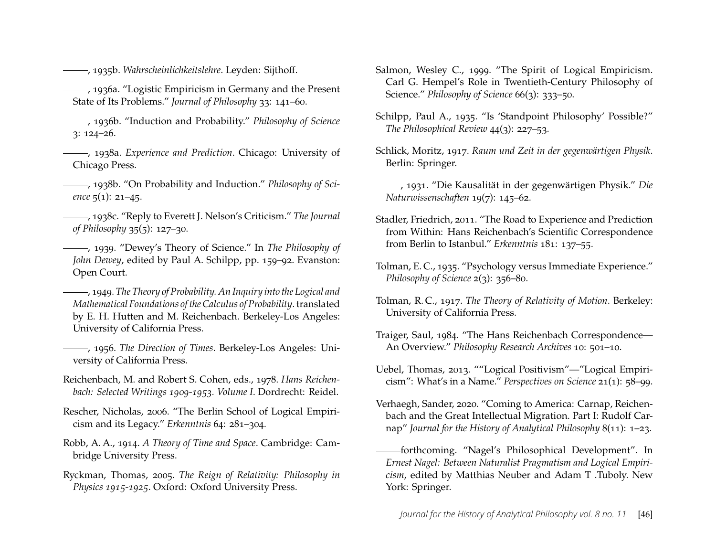<span id="page-23-7"></span>, 1935b. *Wahrscheinlichkeitslehre*. Leyden: Sijthoff.

- <span id="page-23-16"></span>, 1936a. "Logistic Empiricism in Germany and the Present State of Its Problems." *Journal of Philosophy* 33: 141–60.
- <span id="page-23-15"></span>, 1936b. "Induction and Probability." *Philosophy of Science* 3: 124–26.
- <span id="page-23-1"></span>, 1938a. *Experience and Prediction*. Chicago: University of Chicago Press.
- <span id="page-23-18"></span>, 1938b. "On Probability and Induction." *Philosophy of Science* 5(1): 21–45.
- <span id="page-23-19"></span>, 1938c. "Reply to Everett J. Nelson's Criticism." *The Journal of Philosophy* 35(5): 127–30.
- <span id="page-23-20"></span>, 1939. "Dewey's Theory of Science." In *The Philosophy of John Dewey*, edited by Paul A. Schilpp, pp. 159–92. Evanston: Open Court.
- <span id="page-23-8"></span>, 1949. *The Theory of Probability. An Inquiry into the Logical and Mathematical Foundations of the Calculus of Probability*. translated by E. H. Hutten and M. Reichenbach. Berkeley-Los Angeles: University of California Press.
- <span id="page-23-6"></span>, 1956. *The Direction of Times*. Berkeley-Los Angeles: University of California Press.
- <span id="page-23-23"></span>Reichenbach, M. and Robert S. Cohen, eds., 1978. *Hans Reichenbach: Selected Writings 1909-1953. Volume I*. Dordrecht: Reidel.
- <span id="page-23-9"></span>Rescher, Nicholas, 2006. "The Berlin School of Logical Empiricism and its Legacy." *Erkenntnis* 64: 281–304.
- <span id="page-23-5"></span>Robb, A. A., 1914. *A Theory of Time and Space*. Cambridge: Cambridge University Press.
- <span id="page-23-3"></span>Ryckman, Thomas, 2005. *The Reign of Relativity: Philosophy in Physics 1915-1925*. Oxford: Oxford University Press.
- <span id="page-23-22"></span>Salmon, Wesley C., 1999. "The Spirit of Logical Empiricism. Carl G. Hempel's Role in Twentieth-Century Philosophy of Science." *Philosophy of Science* 66(3): 333–50.
- <span id="page-23-14"></span>Schilpp, Paul A., 1935. "Is 'Standpoint Philosophy' Possible?" *The Philosophical Review* 44(3): 227–53.
- <span id="page-23-2"></span>Schlick, Moritz, 1917. *Raum und Zeit in der gegenwärtigen Physik*. Berlin: Springer.
- <span id="page-23-11"></span>, 1931. "Die Kausalität in der gegenwärtigen Physik." *Die Naturwissenschaften* 19(7): 145–62.
- <span id="page-23-12"></span>Stadler, Friedrich, 2011. "The Road to Experience and Prediction from Within: Hans Reichenbach's Scientific Correspondence from Berlin to Istanbul." *Erkenntnis* 181: 137–55.
- <span id="page-23-21"></span>Tolman, E. C., 1935. "Psychology versus Immediate Experience." *Philosophy of Science* 2(3): 356–80.
- <span id="page-23-4"></span>Tolman, R. C., 1917. *The Theory of Relativity of Motion*. Berkeley: University of California Press.
- <span id="page-23-13"></span>Traiger, Saul, 1984. "The Hans Reichenbach Correspondence— An Overview." *Philosophy Research Archives* 10: 501–10.
- <span id="page-23-17"></span>Uebel, Thomas, 2013. ""Logical Positivism"—"Logical Empiricism": What's in a Name." *Perspectives on Science* 21(1): 58–99.
- <span id="page-23-0"></span>Verhaegh, Sander, 2020. "Coming to America: Carnap, Reichenbach and the Great Intellectual Migration. Part I: Rudolf Carnap" *Journal for the History of Analytical Philosophy* 8(11): 1–23.
- <span id="page-23-10"></span>forthcoming. "Nagel's Philosophical Development". In *Ernest Nagel: Between Naturalist Pragmatism and Logical Empiricism*, edited by Matthias Neuber and Adam T .Tuboly. New York: Springer.